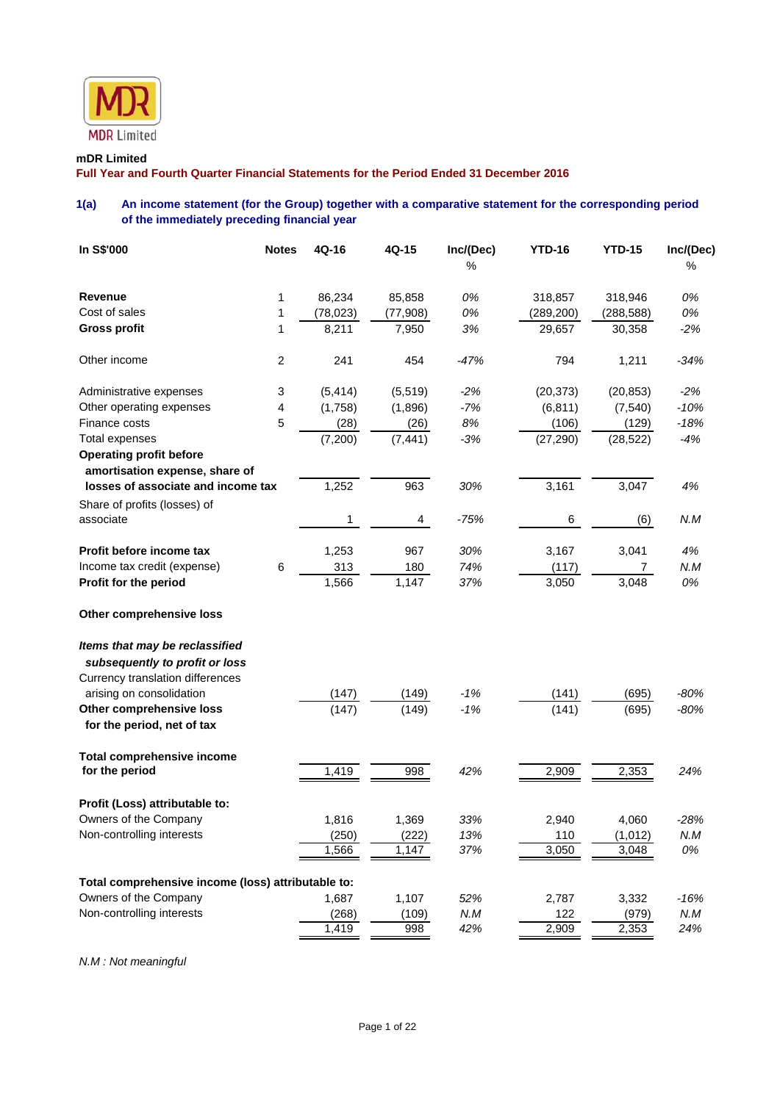

### **mDR Limited**

**Full Year and Fourth Quarter Financial Statements for the Period Ended 31 December 2016** 

## **1(a) An income statement (for the Group) together with a comparative statement for the corresponding period of the immediately preceding financial year**

| <b>Revenue</b><br>86,234<br>85,858<br>0%<br>318,857<br>318,946<br>0%<br>1<br>Cost of sales<br>0%<br>0%<br>1<br>(78, 023)<br>(77, 908)<br>(289, 200)<br>(288, 588)<br><b>Gross profit</b><br>3%<br>$-2%$<br>1<br>8,211<br>7,950<br>29,657<br>30,358<br>Other income<br>$\boldsymbol{2}$<br>241<br>454<br>$-47%$<br>794<br>1,211<br>$-34%$<br>Administrative expenses<br>3<br>(5, 414)<br>(5, 519)<br>$-2%$<br>(20, 373)<br>(20, 853)<br>$-2%$<br>4<br>$-7%$<br>$-10%$<br>Other operating expenses<br>(1,758)<br>(1,896)<br>(6, 811)<br>(7, 540)<br>Finance costs<br>5<br>8%<br>$-18%$<br>(28)<br>(26)<br>(106)<br>(129)<br><b>Total expenses</b><br>$-3%$<br>$-4%$<br>(7,200)<br>(7, 441)<br>(27, 290)<br>(28, 522)<br><b>Operating profit before</b><br>amortisation expense, share of<br>losses of associate and income tax<br>1,252<br>963<br>30%<br>3,161<br>3,047<br>4%<br>Share of profits (losses) of<br>associate<br>N.M<br>1<br>$-75%$<br>6<br>(6)<br>4<br>4%<br>Profit before income tax<br>1,253<br>967<br>30%<br>3,167<br>3,041<br>Income tax credit (expense)<br>6<br>313<br>180<br>74%<br>N.M<br>(117)<br>7<br>Profit for the period<br>1,566<br>1,147<br>37%<br>3,048<br>0%<br>3,050<br>Other comprehensive loss<br>Items that may be reclassified<br>subsequently to profit or loss<br>Currency translation differences<br>$-80%$<br>arising on consolidation<br>$-1%$<br>(147)<br>(149)<br>(141)<br>(695)<br>$-1%$<br>Other comprehensive loss<br>(147)<br>(149)<br>(141)<br>(695)<br>$-80%$<br>for the period, net of tax<br><b>Total comprehensive income</b><br>1,419<br>998<br>42%<br>2,909<br>2,353<br>24%<br>for the period<br>Profit (Loss) attributable to:<br>Owners of the Company<br>33%<br>2,940<br>$-28%$<br>1,816<br>1,369<br>4,060<br>Non-controlling interests<br>(250)<br>13%<br>N.M<br>(222)<br>110<br>(1,012)<br>37%<br>3,050<br>0%<br>1,566<br>1,147<br>3,048<br>Total comprehensive income (loss) attributable to:<br>Owners of the Company<br>1,107<br>52%<br>1,687<br>2,787<br>3,332<br>$-16%$<br>Non-controlling interests<br>N.M<br>N.M<br>(268)<br>(109)<br>122<br>(979)<br>1,419<br>998<br>42%<br>2,909<br>2,353<br>24% | In S\$'000 | <b>Notes</b> | 4Q-16 | 4Q-15 | Inc/(Dec)<br>% | <b>YTD-16</b> | <b>YTD-15</b> | Inc/(Dec)<br>℅ |
|--------------------------------------------------------------------------------------------------------------------------------------------------------------------------------------------------------------------------------------------------------------------------------------------------------------------------------------------------------------------------------------------------------------------------------------------------------------------------------------------------------------------------------------------------------------------------------------------------------------------------------------------------------------------------------------------------------------------------------------------------------------------------------------------------------------------------------------------------------------------------------------------------------------------------------------------------------------------------------------------------------------------------------------------------------------------------------------------------------------------------------------------------------------------------------------------------------------------------------------------------------------------------------------------------------------------------------------------------------------------------------------------------------------------------------------------------------------------------------------------------------------------------------------------------------------------------------------------------------------------------------------------------------------------------------------------------------------------------------------------------------------------------------------------------------------------------------------------------------------------------------------------------------------------------------------------------------------------------------------------------------------------------------------------------------------------------------------------------------------------------------------------------------------------|------------|--------------|-------|-------|----------------|---------------|---------------|----------------|
|                                                                                                                                                                                                                                                                                                                                                                                                                                                                                                                                                                                                                                                                                                                                                                                                                                                                                                                                                                                                                                                                                                                                                                                                                                                                                                                                                                                                                                                                                                                                                                                                                                                                                                                                                                                                                                                                                                                                                                                                                                                                                                                                                                    |            |              |       |       |                |               |               |                |
|                                                                                                                                                                                                                                                                                                                                                                                                                                                                                                                                                                                                                                                                                                                                                                                                                                                                                                                                                                                                                                                                                                                                                                                                                                                                                                                                                                                                                                                                                                                                                                                                                                                                                                                                                                                                                                                                                                                                                                                                                                                                                                                                                                    |            |              |       |       |                |               |               |                |
|                                                                                                                                                                                                                                                                                                                                                                                                                                                                                                                                                                                                                                                                                                                                                                                                                                                                                                                                                                                                                                                                                                                                                                                                                                                                                                                                                                                                                                                                                                                                                                                                                                                                                                                                                                                                                                                                                                                                                                                                                                                                                                                                                                    |            |              |       |       |                |               |               |                |
|                                                                                                                                                                                                                                                                                                                                                                                                                                                                                                                                                                                                                                                                                                                                                                                                                                                                                                                                                                                                                                                                                                                                                                                                                                                                                                                                                                                                                                                                                                                                                                                                                                                                                                                                                                                                                                                                                                                                                                                                                                                                                                                                                                    |            |              |       |       |                |               |               |                |
|                                                                                                                                                                                                                                                                                                                                                                                                                                                                                                                                                                                                                                                                                                                                                                                                                                                                                                                                                                                                                                                                                                                                                                                                                                                                                                                                                                                                                                                                                                                                                                                                                                                                                                                                                                                                                                                                                                                                                                                                                                                                                                                                                                    |            |              |       |       |                |               |               |                |
|                                                                                                                                                                                                                                                                                                                                                                                                                                                                                                                                                                                                                                                                                                                                                                                                                                                                                                                                                                                                                                                                                                                                                                                                                                                                                                                                                                                                                                                                                                                                                                                                                                                                                                                                                                                                                                                                                                                                                                                                                                                                                                                                                                    |            |              |       |       |                |               |               |                |
|                                                                                                                                                                                                                                                                                                                                                                                                                                                                                                                                                                                                                                                                                                                                                                                                                                                                                                                                                                                                                                                                                                                                                                                                                                                                                                                                                                                                                                                                                                                                                                                                                                                                                                                                                                                                                                                                                                                                                                                                                                                                                                                                                                    |            |              |       |       |                |               |               |                |
|                                                                                                                                                                                                                                                                                                                                                                                                                                                                                                                                                                                                                                                                                                                                                                                                                                                                                                                                                                                                                                                                                                                                                                                                                                                                                                                                                                                                                                                                                                                                                                                                                                                                                                                                                                                                                                                                                                                                                                                                                                                                                                                                                                    |            |              |       |       |                |               |               |                |
|                                                                                                                                                                                                                                                                                                                                                                                                                                                                                                                                                                                                                                                                                                                                                                                                                                                                                                                                                                                                                                                                                                                                                                                                                                                                                                                                                                                                                                                                                                                                                                                                                                                                                                                                                                                                                                                                                                                                                                                                                                                                                                                                                                    |            |              |       |       |                |               |               |                |
|                                                                                                                                                                                                                                                                                                                                                                                                                                                                                                                                                                                                                                                                                                                                                                                                                                                                                                                                                                                                                                                                                                                                                                                                                                                                                                                                                                                                                                                                                                                                                                                                                                                                                                                                                                                                                                                                                                                                                                                                                                                                                                                                                                    |            |              |       |       |                |               |               |                |
|                                                                                                                                                                                                                                                                                                                                                                                                                                                                                                                                                                                                                                                                                                                                                                                                                                                                                                                                                                                                                                                                                                                                                                                                                                                                                                                                                                                                                                                                                                                                                                                                                                                                                                                                                                                                                                                                                                                                                                                                                                                                                                                                                                    |            |              |       |       |                |               |               |                |
|                                                                                                                                                                                                                                                                                                                                                                                                                                                                                                                                                                                                                                                                                                                                                                                                                                                                                                                                                                                                                                                                                                                                                                                                                                                                                                                                                                                                                                                                                                                                                                                                                                                                                                                                                                                                                                                                                                                                                                                                                                                                                                                                                                    |            |              |       |       |                |               |               |                |
|                                                                                                                                                                                                                                                                                                                                                                                                                                                                                                                                                                                                                                                                                                                                                                                                                                                                                                                                                                                                                                                                                                                                                                                                                                                                                                                                                                                                                                                                                                                                                                                                                                                                                                                                                                                                                                                                                                                                                                                                                                                                                                                                                                    |            |              |       |       |                |               |               |                |
|                                                                                                                                                                                                                                                                                                                                                                                                                                                                                                                                                                                                                                                                                                                                                                                                                                                                                                                                                                                                                                                                                                                                                                                                                                                                                                                                                                                                                                                                                                                                                                                                                                                                                                                                                                                                                                                                                                                                                                                                                                                                                                                                                                    |            |              |       |       |                |               |               |                |
|                                                                                                                                                                                                                                                                                                                                                                                                                                                                                                                                                                                                                                                                                                                                                                                                                                                                                                                                                                                                                                                                                                                                                                                                                                                                                                                                                                                                                                                                                                                                                                                                                                                                                                                                                                                                                                                                                                                                                                                                                                                                                                                                                                    |            |              |       |       |                |               |               |                |
|                                                                                                                                                                                                                                                                                                                                                                                                                                                                                                                                                                                                                                                                                                                                                                                                                                                                                                                                                                                                                                                                                                                                                                                                                                                                                                                                                                                                                                                                                                                                                                                                                                                                                                                                                                                                                                                                                                                                                                                                                                                                                                                                                                    |            |              |       |       |                |               |               |                |
|                                                                                                                                                                                                                                                                                                                                                                                                                                                                                                                                                                                                                                                                                                                                                                                                                                                                                                                                                                                                                                                                                                                                                                                                                                                                                                                                                                                                                                                                                                                                                                                                                                                                                                                                                                                                                                                                                                                                                                                                                                                                                                                                                                    |            |              |       |       |                |               |               |                |
|                                                                                                                                                                                                                                                                                                                                                                                                                                                                                                                                                                                                                                                                                                                                                                                                                                                                                                                                                                                                                                                                                                                                                                                                                                                                                                                                                                                                                                                                                                                                                                                                                                                                                                                                                                                                                                                                                                                                                                                                                                                                                                                                                                    |            |              |       |       |                |               |               |                |
|                                                                                                                                                                                                                                                                                                                                                                                                                                                                                                                                                                                                                                                                                                                                                                                                                                                                                                                                                                                                                                                                                                                                                                                                                                                                                                                                                                                                                                                                                                                                                                                                                                                                                                                                                                                                                                                                                                                                                                                                                                                                                                                                                                    |            |              |       |       |                |               |               |                |
|                                                                                                                                                                                                                                                                                                                                                                                                                                                                                                                                                                                                                                                                                                                                                                                                                                                                                                                                                                                                                                                                                                                                                                                                                                                                                                                                                                                                                                                                                                                                                                                                                                                                                                                                                                                                                                                                                                                                                                                                                                                                                                                                                                    |            |              |       |       |                |               |               |                |
|                                                                                                                                                                                                                                                                                                                                                                                                                                                                                                                                                                                                                                                                                                                                                                                                                                                                                                                                                                                                                                                                                                                                                                                                                                                                                                                                                                                                                                                                                                                                                                                                                                                                                                                                                                                                                                                                                                                                                                                                                                                                                                                                                                    |            |              |       |       |                |               |               |                |
|                                                                                                                                                                                                                                                                                                                                                                                                                                                                                                                                                                                                                                                                                                                                                                                                                                                                                                                                                                                                                                                                                                                                                                                                                                                                                                                                                                                                                                                                                                                                                                                                                                                                                                                                                                                                                                                                                                                                                                                                                                                                                                                                                                    |            |              |       |       |                |               |               |                |
|                                                                                                                                                                                                                                                                                                                                                                                                                                                                                                                                                                                                                                                                                                                                                                                                                                                                                                                                                                                                                                                                                                                                                                                                                                                                                                                                                                                                                                                                                                                                                                                                                                                                                                                                                                                                                                                                                                                                                                                                                                                                                                                                                                    |            |              |       |       |                |               |               |                |
|                                                                                                                                                                                                                                                                                                                                                                                                                                                                                                                                                                                                                                                                                                                                                                                                                                                                                                                                                                                                                                                                                                                                                                                                                                                                                                                                                                                                                                                                                                                                                                                                                                                                                                                                                                                                                                                                                                                                                                                                                                                                                                                                                                    |            |              |       |       |                |               |               |                |
|                                                                                                                                                                                                                                                                                                                                                                                                                                                                                                                                                                                                                                                                                                                                                                                                                                                                                                                                                                                                                                                                                                                                                                                                                                                                                                                                                                                                                                                                                                                                                                                                                                                                                                                                                                                                                                                                                                                                                                                                                                                                                                                                                                    |            |              |       |       |                |               |               |                |
|                                                                                                                                                                                                                                                                                                                                                                                                                                                                                                                                                                                                                                                                                                                                                                                                                                                                                                                                                                                                                                                                                                                                                                                                                                                                                                                                                                                                                                                                                                                                                                                                                                                                                                                                                                                                                                                                                                                                                                                                                                                                                                                                                                    |            |              |       |       |                |               |               |                |
|                                                                                                                                                                                                                                                                                                                                                                                                                                                                                                                                                                                                                                                                                                                                                                                                                                                                                                                                                                                                                                                                                                                                                                                                                                                                                                                                                                                                                                                                                                                                                                                                                                                                                                                                                                                                                                                                                                                                                                                                                                                                                                                                                                    |            |              |       |       |                |               |               |                |
|                                                                                                                                                                                                                                                                                                                                                                                                                                                                                                                                                                                                                                                                                                                                                                                                                                                                                                                                                                                                                                                                                                                                                                                                                                                                                                                                                                                                                                                                                                                                                                                                                                                                                                                                                                                                                                                                                                                                                                                                                                                                                                                                                                    |            |              |       |       |                |               |               |                |
|                                                                                                                                                                                                                                                                                                                                                                                                                                                                                                                                                                                                                                                                                                                                                                                                                                                                                                                                                                                                                                                                                                                                                                                                                                                                                                                                                                                                                                                                                                                                                                                                                                                                                                                                                                                                                                                                                                                                                                                                                                                                                                                                                                    |            |              |       |       |                |               |               |                |
|                                                                                                                                                                                                                                                                                                                                                                                                                                                                                                                                                                                                                                                                                                                                                                                                                                                                                                                                                                                                                                                                                                                                                                                                                                                                                                                                                                                                                                                                                                                                                                                                                                                                                                                                                                                                                                                                                                                                                                                                                                                                                                                                                                    |            |              |       |       |                |               |               |                |
|                                                                                                                                                                                                                                                                                                                                                                                                                                                                                                                                                                                                                                                                                                                                                                                                                                                                                                                                                                                                                                                                                                                                                                                                                                                                                                                                                                                                                                                                                                                                                                                                                                                                                                                                                                                                                                                                                                                                                                                                                                                                                                                                                                    |            |              |       |       |                |               |               |                |

*N.M : Not meaningful*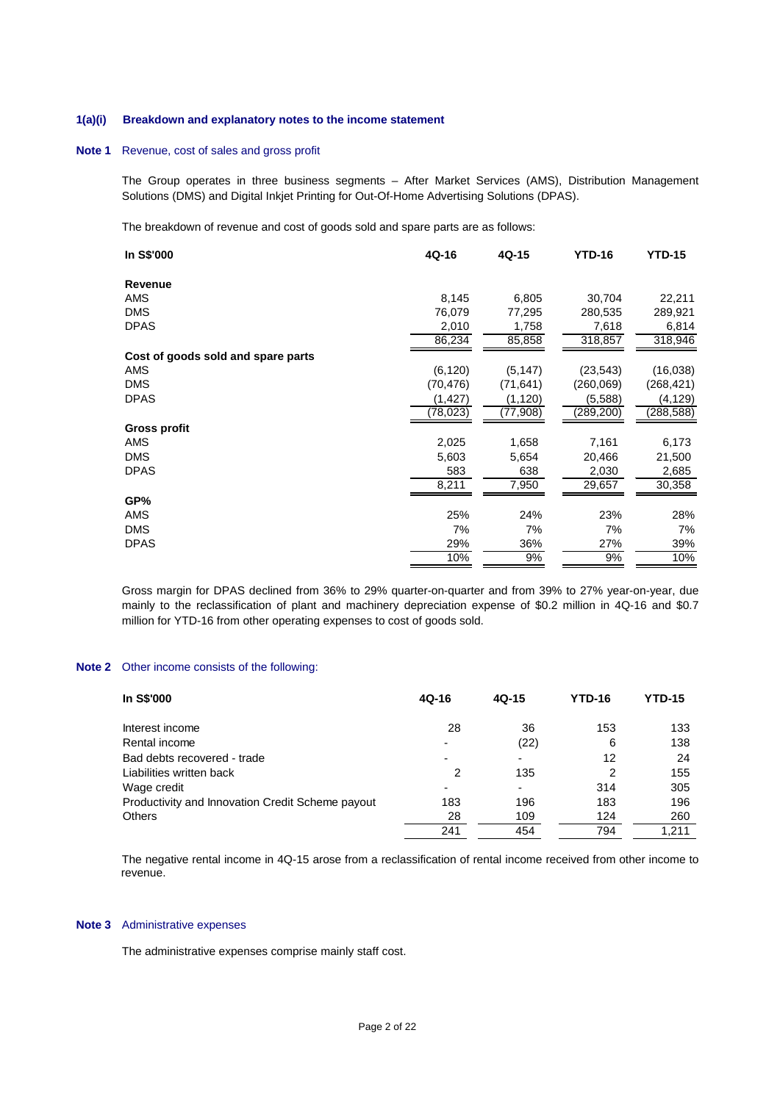#### **1(a)(i) Breakdown and explanatory notes to the income statement**

### **Note 1** Revenue, cost of sales and gross profit

The Group operates in three business segments – After Market Services (AMS), Distribution Management Solutions (DMS) and Digital Inkjet Printing for Out-Of-Home Advertising Solutions (DPAS).

The breakdown of revenue and cost of goods sold and spare parts are as follows:

| In S\$'000                         | 4Q-16     | 4Q-15     | <b>YTD-16</b> | <b>YTD-15</b> |
|------------------------------------|-----------|-----------|---------------|---------------|
| <b>Revenue</b>                     |           |           |               |               |
| AMS                                | 8,145     | 6,805     | 30,704        | 22,211        |
| <b>DMS</b>                         | 76,079    | 77,295    | 280,535       | 289,921       |
| <b>DPAS</b>                        | 2,010     | 1,758     | 7,618         | 6,814         |
|                                    | 86,234    | 85,858    | 318,857       | 318,946       |
| Cost of goods sold and spare parts |           |           |               |               |
| AMS                                | (6, 120)  | (5, 147)  | (23, 543)     | (16,038)      |
| <b>DMS</b>                         | (70, 476) | (71, 641) | (260,069)     | (268,421)     |
| <b>DPAS</b>                        | (1, 427)  | (1, 120)  | (5,588)       | (4, 129)      |
|                                    | (78,023)  | (77,908)  | (289,200)     | (288, 588)    |
| Gross profit                       |           |           |               |               |
| AMS                                | 2,025     | 1,658     | 7,161         | 6,173         |
| <b>DMS</b>                         | 5,603     | 5,654     | 20,466        | 21,500        |
| <b>DPAS</b>                        | 583       | 638       | 2,030         | 2,685         |
|                                    | 8,211     | 7,950     | 29,657        | 30,358        |
| GP%                                |           |           |               |               |
| AMS                                | 25%       | 24%       | 23%           | 28%           |
| <b>DMS</b>                         | 7%        | 7%        | 7%            | 7%            |
| <b>DPAS</b>                        | 29%       | 36%       | 27%           | 39%           |
|                                    | 10%       | 9%        | 9%            | 10%           |

Gross margin for DPAS declined from 36% to 29% quarter-on-quarter and from 39% to 27% year-on-year, due mainly to the reclassification of plant and machinery depreciation expense of \$0.2 million in 4Q-16 and \$0.7 million for YTD-16 from other operating expenses to cost of goods sold.

### **Note 2** Other income consists of the following:

| <b>In S\$'000</b>                                | 4Q-16                    | $4Q-15$ | <b>YTD-16</b> | YTD-15 |
|--------------------------------------------------|--------------------------|---------|---------------|--------|
| Interest income                                  | 28                       | 36      | 153           | 133    |
| Rental income                                    |                          | (22)    | 6             | 138    |
| Bad debts recovered - trade                      |                          |         | 12            | 24     |
| Liabilities written back                         | 2                        | 135     | 2             | 155    |
| Wage credit                                      | $\overline{\phantom{0}}$ |         | 314           | 305    |
| Productivity and Innovation Credit Scheme payout | 183                      | 196     | 183           | 196    |
| <b>Others</b>                                    | 28                       | 109     | 124           | 260    |
|                                                  | 241                      | 454     | 794           | 1.211  |

The negative rental income in 4Q-15 arose from a reclassification of rental income received from other income to revenue.

#### **Note 3** Administrative expenses

The administrative expenses comprise mainly staff cost.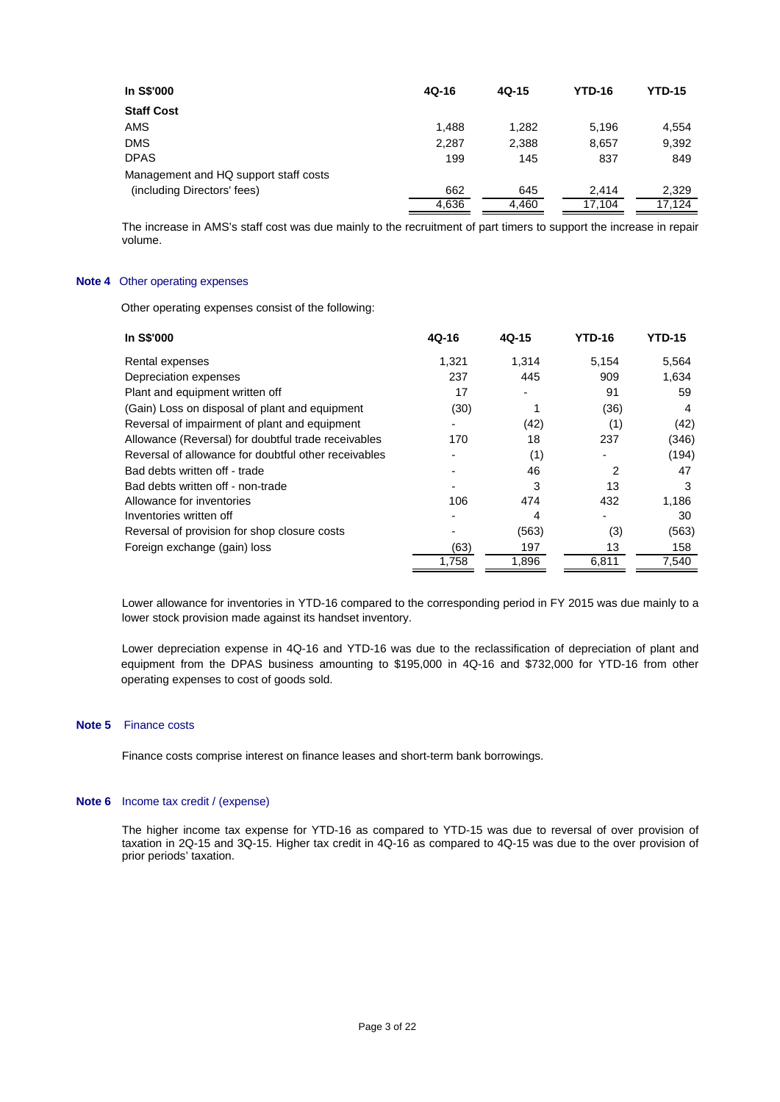| <b>In S\$'000</b>                     | $4Q-16$ | $4Q-15$ | <b>YTD-16</b> | <b>YTD-15</b> |
|---------------------------------------|---------|---------|---------------|---------------|
| <b>Staff Cost</b>                     |         |         |               |               |
| <b>AMS</b>                            | 1,488   | 1,282   | 5,196         | 4,554         |
| <b>DMS</b>                            | 2,287   | 2,388   | 8.657         | 9,392         |
| <b>DPAS</b>                           | 199     | 145     | 837           | 849           |
| Management and HQ support staff costs |         |         |               |               |
| (including Directors' fees)           | 662     | 645     | 2.414         | 2,329         |
|                                       | 4,636   | 4,460   | 17,104        | 17.124        |

The increase in AMS's staff cost was due mainly to the recruitment of part timers to support the increase in repair volume.

#### **Note 4** Other operating expenses

Other operating expenses consist of the following:

| In S\$'000                                           | 4Q-16 | 4Q-15 | <b>YTD-16</b> | <b>YTD-15</b> |
|------------------------------------------------------|-------|-------|---------------|---------------|
| Rental expenses                                      | 1,321 | 1,314 | 5,154         | 5,564         |
| Depreciation expenses                                | 237   | 445   | 909           | 1,634         |
| Plant and equipment written off                      | 17    | ٠     | 91            | 59            |
| (Gain) Loss on disposal of plant and equipment       | (30)  |       | (36)          | 4             |
| Reversal of impairment of plant and equipment        |       | (42)  | (1)           | (42)          |
| Allowance (Reversal) for doubtful trade receivables  | 170   | 18    | 237           | (346)         |
| Reversal of allowance for doubtful other receivables |       | (1)   |               | (194)         |
| Bad debts written off - trade                        |       | 46    | 2             | 47            |
| Bad debts written off - non-trade                    |       | 3     | 13            | 3             |
| Allowance for inventories                            | 106   | 474   | 432           | 1,186         |
| Inventories written off                              |       | 4     |               | 30            |
| Reversal of provision for shop closure costs         |       | (563) | (3)           | (563)         |
| Foreign exchange (gain) loss                         | (63)  | 197   | 13            | 158           |
|                                                      | 1,758 | 1,896 | 6,811         | 7,540         |
|                                                      |       |       |               |               |

Lower allowance for inventories in YTD-16 compared to the corresponding period in FY 2015 was due mainly to a lower stock provision made against its handset inventory.

Lower depreciation expense in 4Q-16 and YTD-16 was due to the reclassification of depreciation of plant and equipment from the DPAS business amounting to \$195,000 in 4Q-16 and \$732,000 for YTD-16 from other operating expenses to cost of goods sold.

### **Note 5** Finance costs

Finance costs comprise interest on finance leases and short-term bank borrowings.

#### **Note 6** Income tax credit / (expense)

 The higher income tax expense for YTD-16 as compared to YTD-15 was due to reversal of over provision of taxation in 2Q-15 and 3Q-15. Higher tax credit in 4Q-16 as compared to 4Q-15 was due to the over provision of prior periods' taxation.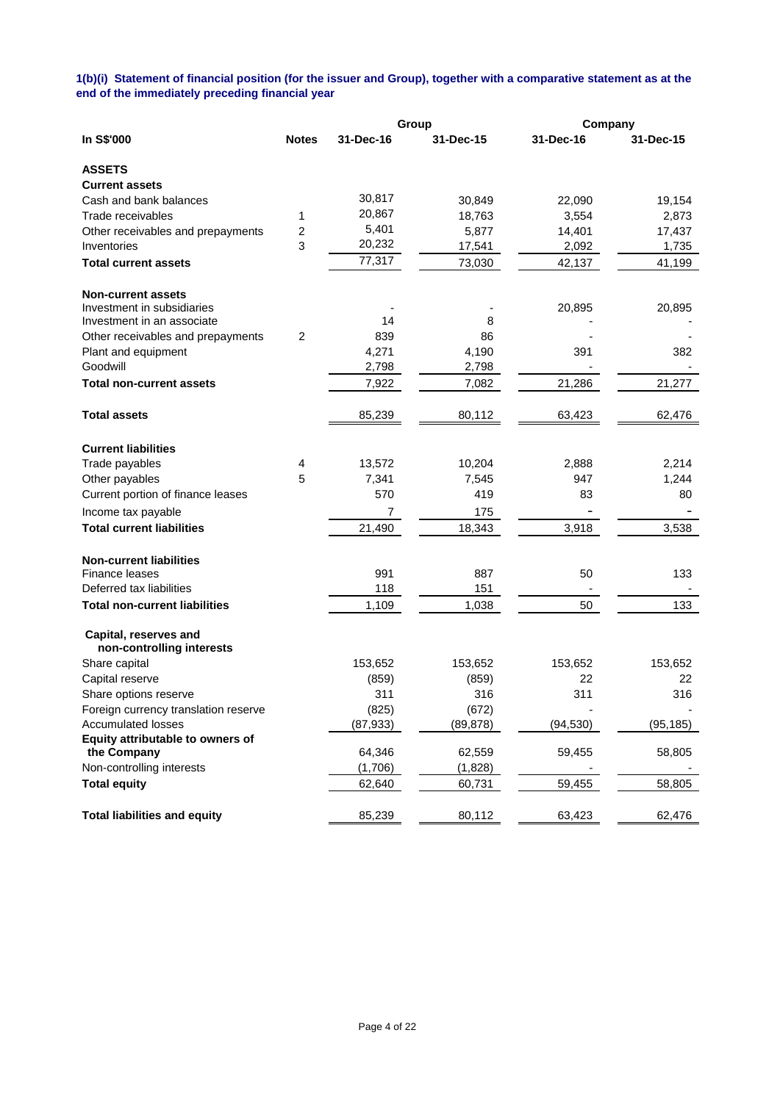### **1(b)(i) Statement of financial position (for the issuer and Group), together with a comparative statement as at the end of the immediately preceding financial year**

|                                                    |                |           | Group     | Company   |           |
|----------------------------------------------------|----------------|-----------|-----------|-----------|-----------|
| In S\$'000                                         | <b>Notes</b>   | 31-Dec-16 | 31-Dec-15 | 31-Dec-16 | 31-Dec-15 |
| <b>ASSETS</b>                                      |                |           |           |           |           |
| <b>Current assets</b>                              |                |           |           |           |           |
| Cash and bank balances                             |                | 30,817    | 30,849    | 22,090    | 19,154    |
| Trade receivables                                  | 1              | 20,867    | 18,763    | 3,554     | 2,873     |
| Other receivables and prepayments                  | $\overline{c}$ | 5,401     | 5,877     | 14,401    | 17,437    |
| Inventories                                        | 3              | 20,232    | 17,541    | 2,092     | 1,735     |
| <b>Total current assets</b>                        |                | 77,317    | 73,030    | 42,137    | 41,199    |
| <b>Non-current assets</b>                          |                |           |           |           |           |
| Investment in subsidiaries                         |                |           |           | 20,895    | 20,895    |
| Investment in an associate                         |                | 14        | 8         |           |           |
| Other receivables and prepayments                  | 2              | 839       | 86        |           |           |
| Plant and equipment                                |                | 4,271     | 4,190     | 391       | 382       |
| Goodwill                                           |                | 2,798     | 2,798     |           |           |
| <b>Total non-current assets</b>                    |                | 7,922     | 7,082     | 21,286    | 21,277    |
| <b>Total assets</b>                                |                | 85,239    | 80,112    | 63,423    | 62,476    |
| <b>Current liabilities</b>                         |                |           |           |           |           |
| Trade payables                                     | 4              | 13,572    | 10,204    | 2,888     | 2,214     |
| Other payables                                     | 5              | 7,341     | 7,545     | 947       | 1,244     |
| Current portion of finance leases                  |                | 570       | 419       | 83        | 80        |
| Income tax payable                                 |                | 7         | 175       |           |           |
| <b>Total current liabilities</b>                   |                | 21,490    | 18,343    | 3,918     | 3,538     |
| <b>Non-current liabilities</b>                     |                |           |           |           |           |
| Finance leases                                     |                | 991       | 887       | 50        | 133       |
| Deferred tax liabilities                           |                | 118       | 151       |           |           |
| <b>Total non-current liabilities</b>               |                | 1,109     | 1,038     | 50        | 133       |
| Capital, reserves and<br>non-controlling interests |                |           |           |           |           |
| Share capital                                      |                | 153,652   | 153,652   | 153,652   | 153,652   |
| Capital reserve                                    |                | (859)     | (859)     | 22        | 22        |
| Share options reserve                              |                | 311       | 316       | 311       | 316       |
| Foreign currency translation reserve               |                | (825)     | (672)     |           |           |
| <b>Accumulated losses</b>                          |                | (87, 933) | (89, 878) | (94, 530) | (95, 185) |
| Equity attributable to owners of                   |                |           |           |           |           |
| the Company                                        |                | 64,346    | 62,559    | 59,455    | 58,805    |
| Non-controlling interests                          |                | (1,706)   | (1,828)   |           |           |
| <b>Total equity</b>                                |                | 62,640    | 60,731    | 59,455    | 58,805    |
| <b>Total liabilities and equity</b>                |                | 85,239    | 80,112    | 63,423    | 62,476    |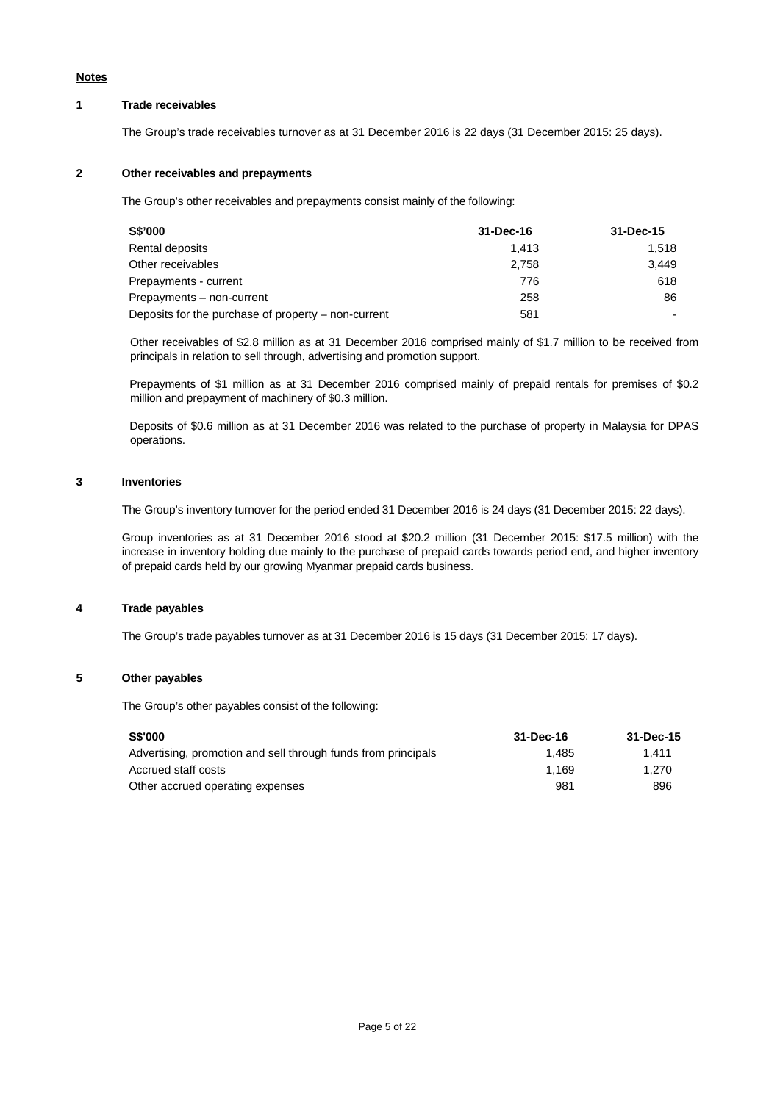#### **Notes**

### **1 Trade receivables**

The Group's trade receivables turnover as at 31 December 2016 is 22 days (31 December 2015: 25 days).

### **2 Other receivables and prepayments**

The Group's other receivables and prepayments consist mainly of the following:

| <b>S\$'000</b>                                      | 31-Dec-16 | 31-Dec-15 |
|-----------------------------------------------------|-----------|-----------|
| Rental deposits                                     | 1.413     | 1.518     |
| Other receivables                                   | 2.758     | 3.449     |
| Prepayments - current                               | 776       | 618       |
| Prepayments – non-current                           | 258       | 86        |
| Deposits for the purchase of property - non-current | 581       |           |

Other receivables of \$2.8 million as at 31 December 2016 comprised mainly of \$1.7 million to be received from principals in relation to sell through, advertising and promotion support.

Prepayments of \$1 million as at 31 December 2016 comprised mainly of prepaid rentals for premises of \$0.2 million and prepayment of machinery of \$0.3 million.

Deposits of \$0.6 million as at 31 December 2016 was related to the purchase of property in Malaysia for DPAS operations.

#### **3 Inventories**

The Group's inventory turnover for the period ended 31 December 2016 is 24 days (31 December 2015: 22 days).

 Group inventories as at 31 December 2016 stood at \$20.2 million (31 December 2015: \$17.5 million) with the increase in inventory holding due mainly to the purchase of prepaid cards towards period end, and higher inventory of prepaid cards held by our growing Myanmar prepaid cards business.

### **4 Trade payables**

The Group's trade payables turnover as at 31 December 2016 is 15 days (31 December 2015: 17 days).

### **5 Other payables**

The Group's other payables consist of the following:

| <b>S\$'000</b>                                                | 31-Dec-16 | 31-Dec-15 |
|---------------------------------------------------------------|-----------|-----------|
| Advertising, promotion and sell through funds from principals | 1.485     | 1.411     |
| Accrued staff costs                                           | 1.169     | 1.270     |
| Other accrued operating expenses                              | 981       | 896       |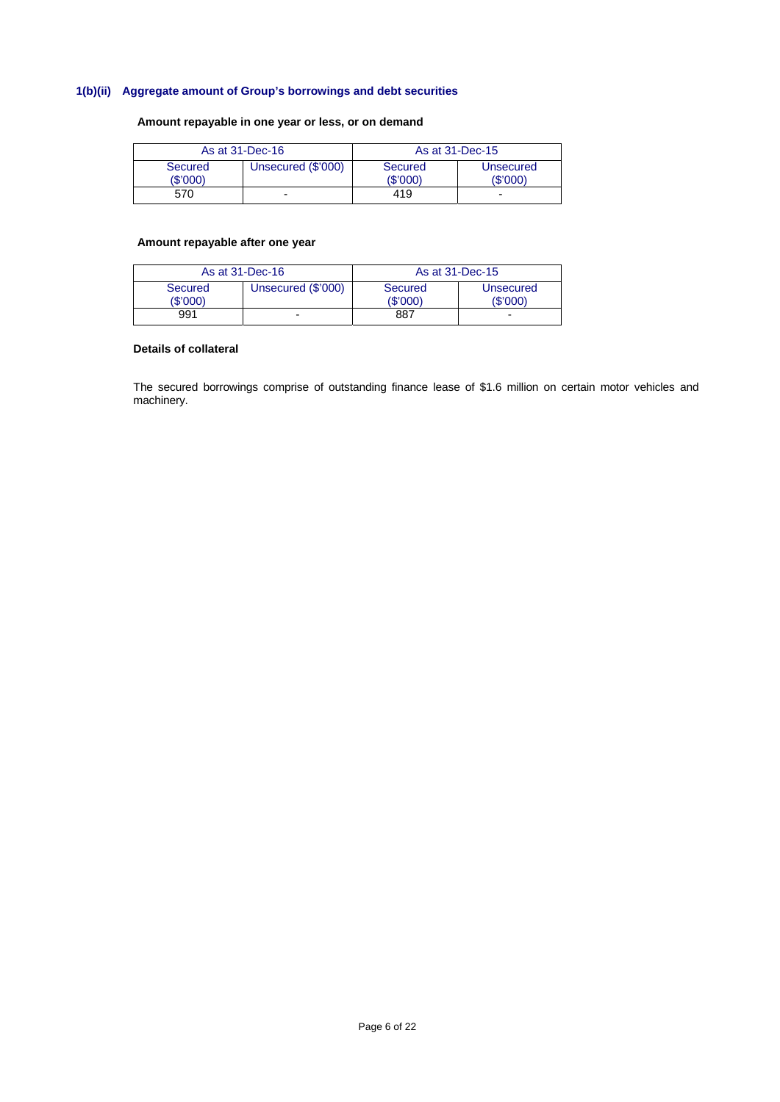# **1(b)(ii) Aggregate amount of Group's borrowings and debt securities**

## **Amount repayable in one year or less, or on demand**

| As at 31-Dec-16   |                    | As at 31-Dec-15     |                       |  |
|-------------------|--------------------|---------------------|-----------------------|--|
| Secured<br>\$'000 | Unsecured (\$'000) | Secured<br>(\$'000) | Unsecured<br>(\$'000) |  |
| 570               | -                  | 419                 | -                     |  |

### **Amount repayable after one year**

| As at 31-Dec-16     |                    | As at 31-Dec-15    |                      |  |
|---------------------|--------------------|--------------------|----------------------|--|
| Secured<br>(\$'000) | Unsecured (\$'000) | Secured<br>(S'000) | Unsecured<br>(S'000) |  |
| 991                 |                    | 887                | -                    |  |

#### **Details of collateral**

The secured borrowings comprise of outstanding finance lease of \$1.6 million on certain motor vehicles and machinery.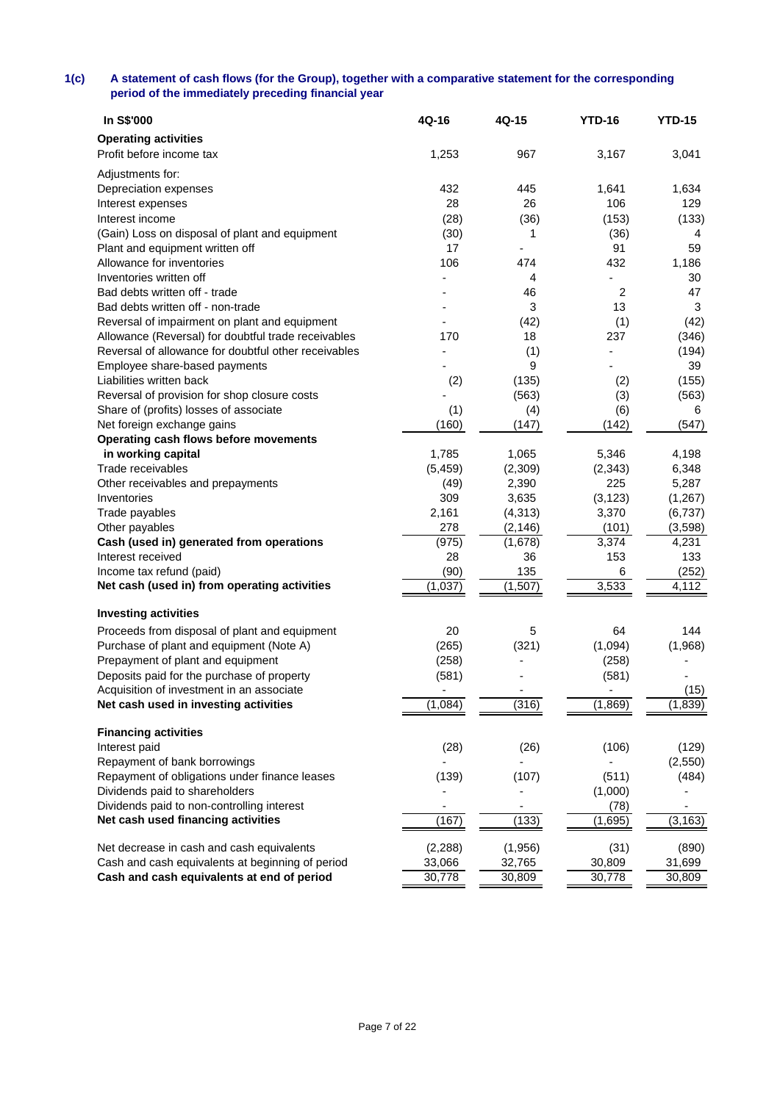## **1(c) A statement of cash flows (for the Group), together with a comparative statement for the corresponding period of the immediately preceding financial year**

| In S\$'000                                           | 4Q-16      | 4Q-15    | <b>YTD-16</b>            | <b>YTD-15</b> |
|------------------------------------------------------|------------|----------|--------------------------|---------------|
| <b>Operating activities</b>                          |            |          |                          |               |
| Profit before income tax                             | 1,253      | 967      | 3,167                    | 3,041         |
|                                                      |            |          |                          |               |
| Adjustments for:                                     | 432        | 445      | 1,641                    | 1,634         |
| Depreciation expenses                                | 28         | 26       | 106                      | 129           |
| Interest expenses<br>Interest income                 |            |          |                          |               |
|                                                      | (28)       | (36)     | (153)                    | (133)         |
| (Gain) Loss on disposal of plant and equipment       | (30)<br>17 | 1        | (36)<br>91               | 4             |
| Plant and equipment written off                      |            | -        |                          | 59            |
| Allowance for inventories                            | 106        | 474      | 432                      | 1,186         |
| Inventories written off                              |            | 4        |                          | 30            |
| Bad debts written off - trade                        |            | 46       | 2                        | 47            |
| Bad debts written off - non-trade                    |            | 3        | 13                       | 3             |
| Reversal of impairment on plant and equipment        |            | (42)     | (1)                      | (42)          |
| Allowance (Reversal) for doubtful trade receivables  | 170        | 18       | 237                      | (346)         |
| Reversal of allowance for doubtful other receivables |            | (1)      |                          | (194)         |
| Employee share-based payments                        |            | 9        |                          | 39            |
| Liabilities written back                             | (2)        | (135)    | (2)                      | (155)         |
| Reversal of provision for shop closure costs         |            | (563)    | (3)                      | (563)         |
| Share of (profits) losses of associate               | (1)        | (4)      | (6)                      | 6             |
| Net foreign exchange gains                           | (160)      | (147)    | (142)                    | (547)         |
| Operating cash flows before movements                |            |          |                          |               |
| in working capital                                   | 1,785      | 1,065    | 5,346                    | 4,198         |
| Trade receivables                                    | (5, 459)   | (2,309)  | (2, 343)                 | 6,348         |
| Other receivables and prepayments                    | (49)       | 2,390    | 225                      | 5,287         |
| Inventories                                          | 309        | 3,635    | (3, 123)                 | (1, 267)      |
| Trade payables                                       | 2,161      | (4, 313) | 3,370                    | (6,737)       |
| Other payables                                       | 278        | (2, 146) | (101)                    | (3,598)       |
| Cash (used in) generated from operations             | (975)      | (1,678)  | 3,374                    | 4,231         |
| Interest received                                    | 28         | 36       | 153                      | 133           |
| Income tax refund (paid)                             | (90)       | 135      | 6                        | (252)         |
| Net cash (used in) from operating activities         | (1,037)    | (1,507)  | 3,533                    | 4,112         |
| <b>Investing activities</b>                          |            |          |                          |               |
|                                                      |            |          |                          |               |
| Proceeds from disposal of plant and equipment        | 20         | 5        | 64                       | 144           |
| Purchase of plant and equipment (Note A)             | (265)      | (321)    | (1,094)                  | (1,968)       |
| Prepayment of plant and equipment                    | (258)      |          | (258)                    |               |
| Deposits paid for the purchase of property           | (581)      |          | (581)                    |               |
| Acquisition of investment in an associate            |            |          | $\overline{\phantom{a}}$ | (15)          |
| Net cash used in investing activities                | (1,084)    | (316)    | (1,869)                  | (1, 839)      |
| <b>Financing activities</b>                          |            |          |                          |               |
| Interest paid                                        | (28)       | (26)     | (106)                    | (129)         |
| Repayment of bank borrowings                         |            |          |                          | (2,550)       |
| Repayment of obligations under finance leases        | (139)      | (107)    | (511)                    | (484)         |
| Dividends paid to shareholders                       |            |          | (1,000)                  |               |
| Dividends paid to non-controlling interest           |            |          | (78)                     |               |
| Net cash used financing activities                   | (167)      | (133)    | (1,695)                  | (3, 163)      |
| Net decrease in cash and cash equivalents            | (2, 288)   | (1,956)  | (31)                     | (890)         |
| Cash and cash equivalents at beginning of period     | 33,066     | 32,765   | 30,809                   | 31,699        |
| Cash and cash equivalents at end of period           | 30,778     | 30,809   | 30,778                   | 30,809        |
|                                                      |            |          |                          |               |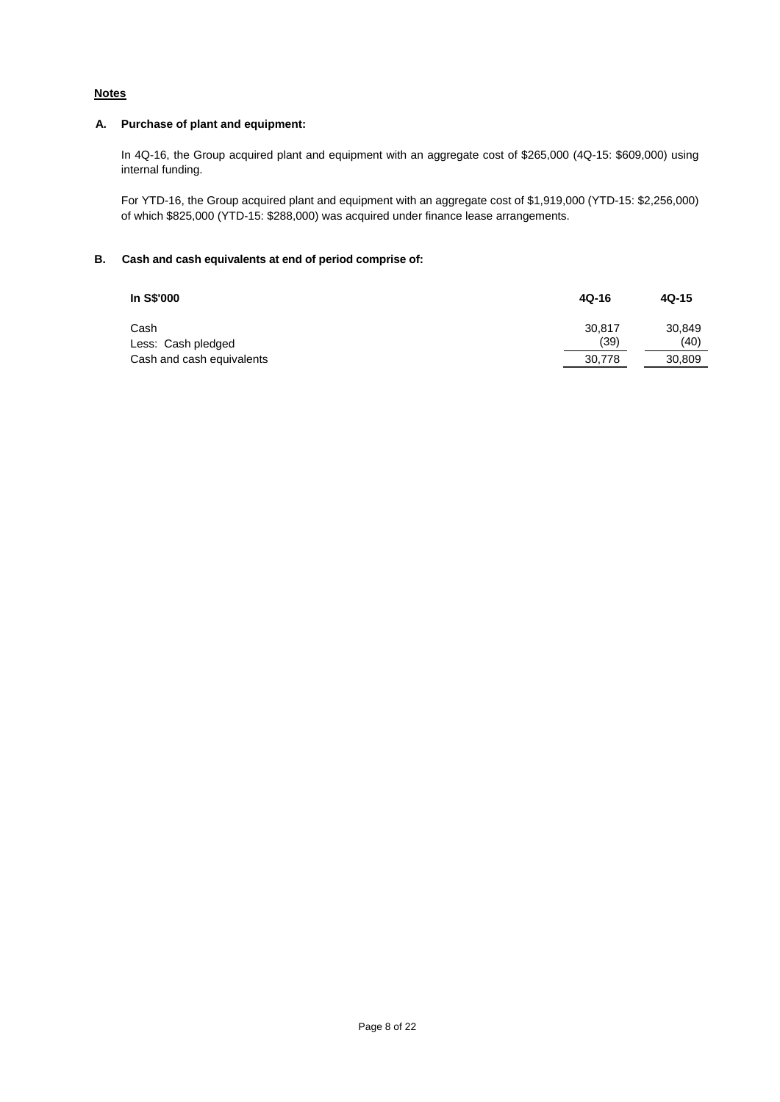# **Notes**

### **A. Purchase of plant and equipment:**

In 4Q-16, the Group acquired plant and equipment with an aggregate cost of \$265,000 (4Q-15: \$609,000) using internal funding.

For YTD-16, the Group acquired plant and equipment with an aggregate cost of \$1,919,000 (YTD-15: \$2,256,000) of which \$825,000 (YTD-15: \$288,000) was acquired under finance lease arrangements.

### **B. Cash and cash equivalents at end of period comprise of:**

| In S\$'000                 | $4Q-16$        | $4Q-15$        |
|----------------------------|----------------|----------------|
| Cash<br>Less: Cash pledged | 30.817<br>(39) | 30,849<br>(40) |
| Cash and cash equivalents  | 30,778         | 30,809         |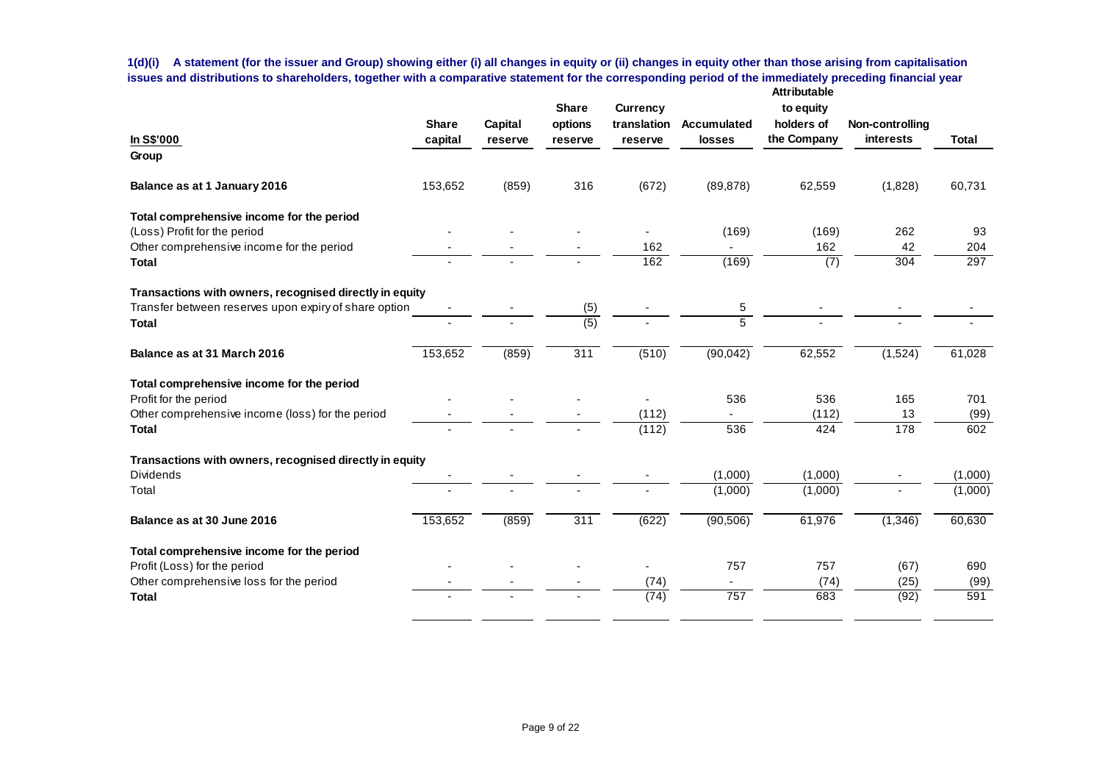**1(d)(i) A statement (for the issuer and Group) showing either (i) all changes in equity or (ii) changes in equity other than those arising from capitalisation issues and distributions to shareholders, together with a comparative statement for the corresponding period of the immediately preceding financial year Attributable**

| In S\$'000                                                | <b>Share</b><br>capital | Capital<br>reserve | <b>Share</b><br>options<br>reserve | <b>Currency</b><br>translation<br>reserve | <b>Accumulated</b><br><b>losses</b> | to equity<br>holders of<br>the Company | Non-controlling<br>interests | <b>Total</b> |
|-----------------------------------------------------------|-------------------------|--------------------|------------------------------------|-------------------------------------------|-------------------------------------|----------------------------------------|------------------------------|--------------|
| Group                                                     |                         |                    |                                    |                                           |                                     |                                        |                              |              |
| Balance as at 1 January 2016                              | 153,652                 | (859)              | 316                                | (672)                                     | (89, 878)                           | 62,559                                 | (1,828)                      | 60,731       |
| Total comprehensive income for the period                 |                         |                    |                                    |                                           |                                     |                                        |                              |              |
| (Loss) Profit for the period                              |                         |                    |                                    |                                           | (169)                               | (169)                                  | 262                          | 93           |
| Other comprehensive income for the period<br><b>Total</b> |                         |                    |                                    | 162<br>162                                | (169)                               | 162<br>$\overline{(7)}$                | 42<br>304                    | 204<br>297   |
| Transactions with owners, recognised directly in equity   |                         |                    |                                    |                                           |                                     |                                        |                              |              |
| Transfer between reserves upon expiry of share option     |                         |                    | (5)                                |                                           | 5                                   |                                        |                              |              |
| <b>Total</b>                                              |                         |                    | $\overline{(5)}$                   |                                           | $\overline{5}$                      |                                        |                              |              |
| Balance as at 31 March 2016                               | 153,652                 | (859)              | 311                                | (510)                                     | (90, 042)                           | 62,552                                 | (1,524)                      | 61,028       |
| Total comprehensive income for the period                 |                         |                    |                                    |                                           |                                     |                                        |                              |              |
| Profit for the period                                     |                         |                    |                                    |                                           | 536                                 | 536                                    | 165                          | 701          |
| Other comprehensive income (loss) for the period          |                         |                    |                                    | (112)                                     |                                     | (112)                                  | 13                           | (99)         |
| <b>Total</b>                                              |                         |                    |                                    | (112)                                     | 536                                 | 424                                    | 178                          | 602          |
| Transactions with owners, recognised directly in equity   |                         |                    |                                    |                                           |                                     |                                        |                              |              |
| <b>Dividends</b>                                          |                         |                    |                                    |                                           | (1,000)                             | (1,000)                                |                              | (1,000)      |
| Total                                                     |                         |                    |                                    |                                           | (1,000)                             | (1,000)                                |                              | (1,000)      |
| Balance as at 30 June 2016                                | 153,652                 | (859)              | 311                                | (622)                                     | (90, 506)                           | 61,976                                 | (1,346)                      | 60,630       |
| Total comprehensive income for the period                 |                         |                    |                                    |                                           |                                     |                                        |                              |              |
| Profit (Loss) for the period                              |                         |                    |                                    |                                           | 757                                 | 757                                    | (67)                         | 690          |
| Other comprehensive loss for the period                   |                         |                    |                                    | (74)                                      |                                     | (74)                                   | (25)                         | (99)         |
| <b>Total</b>                                              |                         |                    |                                    | (74)                                      | 757                                 | 683                                    | (92)                         | 591          |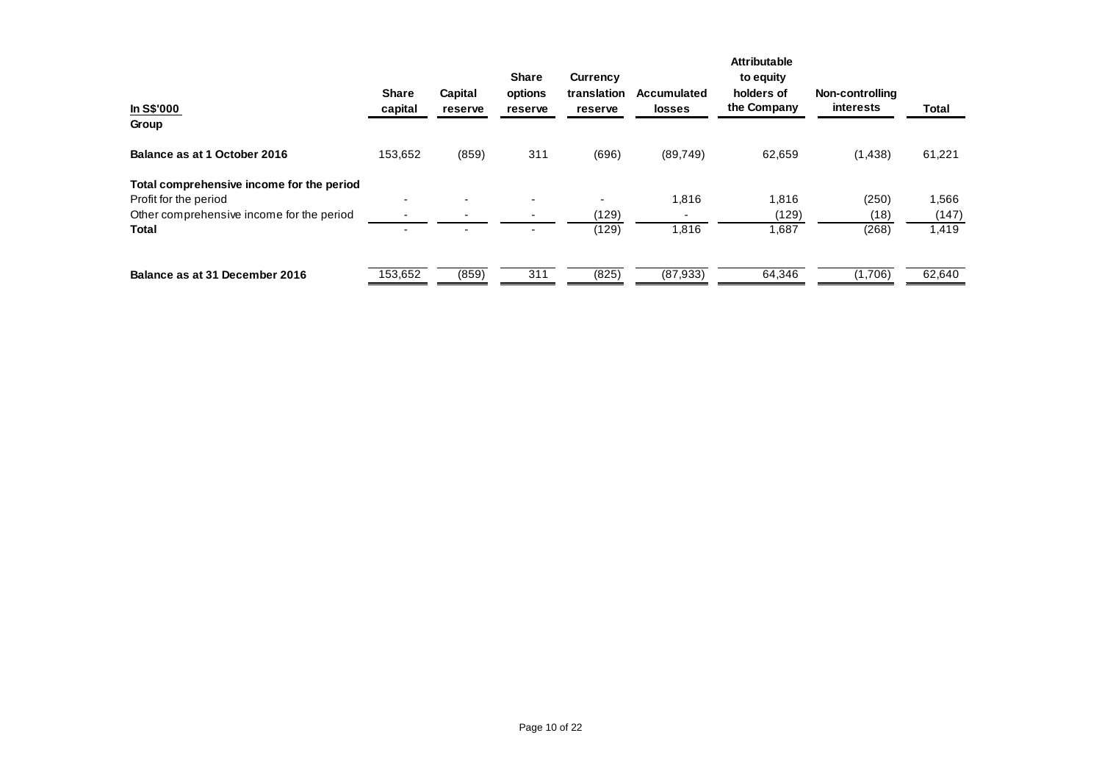| In S\$'000<br>Group                       | <b>Share</b><br>capital  | Capital<br>reserve | <b>Share</b><br>options<br>reserve | Currency<br>translation<br>reserve | <b>Accumulated</b><br><b>losses</b> | <b>Attributable</b><br>to equity<br>holders of<br>the Company | Non-controlling<br><b>interests</b> | Total  |
|-------------------------------------------|--------------------------|--------------------|------------------------------------|------------------------------------|-------------------------------------|---------------------------------------------------------------|-------------------------------------|--------|
|                                           |                          |                    |                                    |                                    |                                     |                                                               |                                     |        |
| Balance as at 1 October 2016              | 153,652                  | (859)              | 311                                | (696)                              | (89, 749)                           | 62,659                                                        | (1,438)                             | 61,221 |
| Total comprehensive income for the period |                          |                    |                                    |                                    |                                     |                                                               |                                     |        |
| Profit for the period                     | $\overline{\phantom{a}}$ |                    |                                    | $\overline{\phantom{0}}$           | 1,816                               | 1,816                                                         | (250)                               | 566. ا |
| Other comprehensive income for the period |                          |                    |                                    | (129)                              |                                     | (129)                                                         | (18)                                | (147)  |
| <b>Total</b>                              | $\sim$                   |                    |                                    | (129)                              | 1,816                               | 1,687                                                         | (268)                               | 1,419  |
| Balance as at 31 December 2016            | 153,652                  | (859)              | 311                                | (825)                              | (87, 933)                           | 64,346                                                        | (1,706)                             | 62,640 |
|                                           |                          |                    |                                    |                                    |                                     |                                                               |                                     |        |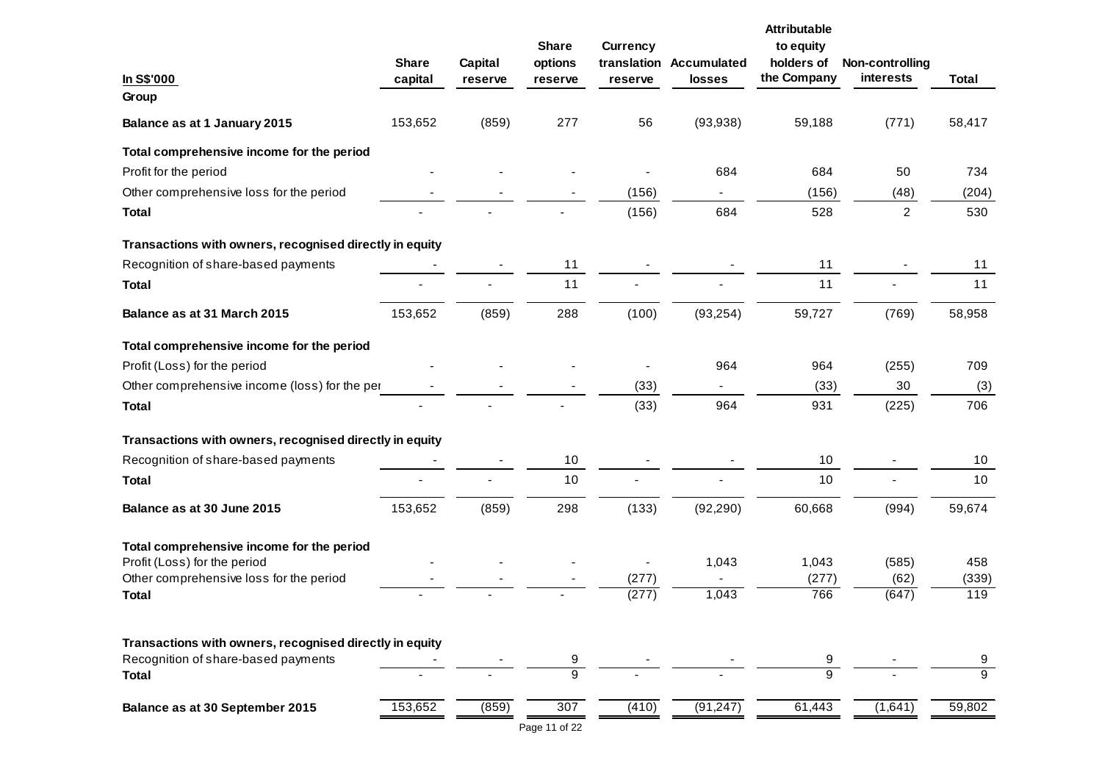| In S\$'000                                              | <b>Share</b><br>capital | Capital<br>reserve | <b>Share</b><br>options<br>reserve | <b>Currency</b><br>reserve | translation Accumulated<br>losses | <b>Attributable</b><br>to equity<br>holders of<br>the Company | Non-controlling<br>interests | <b>Total</b>        |
|---------------------------------------------------------|-------------------------|--------------------|------------------------------------|----------------------------|-----------------------------------|---------------------------------------------------------------|------------------------------|---------------------|
| Group                                                   |                         |                    |                                    |                            |                                   |                                                               |                              |                     |
| Balance as at 1 January 2015                            | 153,652                 | (859)              | 277                                | 56                         | (93,938)                          | 59,188                                                        | (771)                        | 58,417              |
| Total comprehensive income for the period               |                         |                    |                                    |                            |                                   |                                                               |                              |                     |
| Profit for the period                                   |                         |                    |                                    |                            | 684                               | 684                                                           | 50                           | 734                 |
| Other comprehensive loss for the period                 |                         |                    |                                    | (156)                      |                                   | (156)                                                         | (48)                         | (204)               |
| <b>Total</b>                                            |                         |                    |                                    | (156)                      | 684                               | 528                                                           | $\overline{2}$               | 530                 |
| Transactions with owners, recognised directly in equity |                         |                    |                                    |                            |                                   |                                                               |                              |                     |
| Recognition of share-based payments                     |                         |                    | 11                                 |                            |                                   | 11                                                            |                              | 11                  |
| Total                                                   |                         |                    | 11                                 |                            |                                   | 11                                                            |                              | 11                  |
| Balance as at 31 March 2015                             | 153,652                 | (859)              | 288                                | (100)                      | (93, 254)                         | 59,727                                                        | (769)                        | 58,958              |
| Total comprehensive income for the period               |                         |                    |                                    |                            |                                   |                                                               |                              |                     |
| Profit (Loss) for the period                            |                         |                    |                                    |                            | 964                               | 964                                                           | (255)                        | 709                 |
| Other comprehensive income (loss) for the per           |                         |                    |                                    | (33)                       |                                   | (33)                                                          | 30                           | (3)                 |
| <b>Total</b>                                            |                         |                    |                                    | (33)                       | 964                               | 931                                                           | (225)                        | 706                 |
| Transactions with owners, recognised directly in equity |                         |                    |                                    |                            |                                   |                                                               |                              |                     |
| Recognition of share-based payments                     |                         |                    | 10                                 |                            |                                   | 10                                                            |                              | 10                  |
| <b>Total</b>                                            |                         |                    | 10                                 |                            |                                   | 10                                                            |                              | 10                  |
| Balance as at 30 June 2015                              | 153,652                 | (859)              | 298                                | (133)                      | (92, 290)                         | 60,668                                                        | (994)                        | 59,674              |
| Total comprehensive income for the period               |                         |                    |                                    |                            |                                   |                                                               |                              |                     |
| Profit (Loss) for the period                            |                         |                    |                                    |                            | 1,043                             | 1,043                                                         | (585)                        | 458                 |
| Other comprehensive loss for the period<br><b>Total</b> |                         |                    |                                    | (277)<br>(277)             | 1,043                             | (277)<br>766                                                  | (62)<br>(647)                | (339)<br>119        |
|                                                         |                         |                    |                                    |                            |                                   |                                                               |                              |                     |
| Transactions with owners, recognised directly in equity |                         |                    |                                    |                            |                                   |                                                               |                              |                     |
| Recognition of share-based payments<br><b>Total</b>     |                         |                    | 9<br>$\overline{9}$                |                            |                                   | 9<br>$\overline{9}$                                           |                              | 9<br>$\overline{9}$ |
| Balance as at 30 September 2015                         | 153,652                 | (859)              | 307                                | (410)                      | (91, 247)                         | 61,443                                                        | (1,641)                      | 59,802              |
|                                                         |                         |                    | Page 11 of 22                      |                            |                                   |                                                               |                              |                     |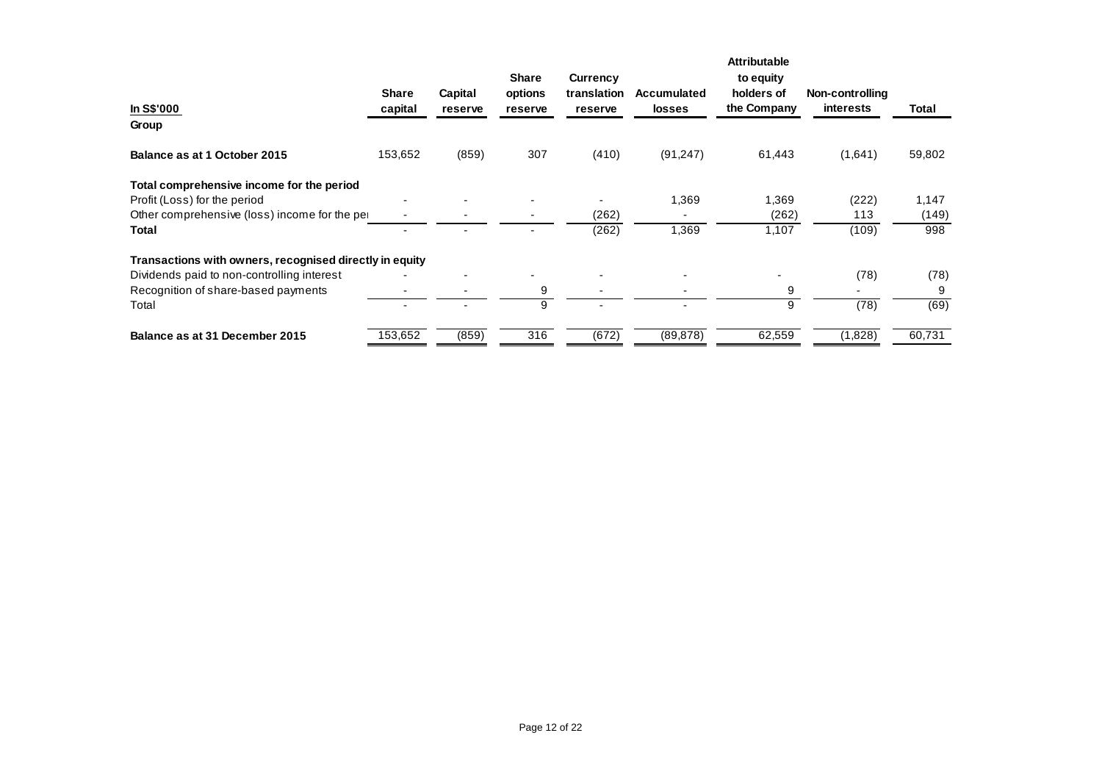| In S\$'000<br>Group                                     | <b>Share</b><br>capital | Capital<br>reserve | <b>Share</b><br>options<br>reserve | <b>Currency</b><br>translation<br>reserve | <b>Accumulated</b><br><b>losses</b> | <b>Attributable</b><br>to equity<br>holders of<br>the Company | Non-controlling<br><b>interests</b> | Total  |
|---------------------------------------------------------|-------------------------|--------------------|------------------------------------|-------------------------------------------|-------------------------------------|---------------------------------------------------------------|-------------------------------------|--------|
| Balance as at 1 October 2015                            | 153,652                 | (859)              | 307                                | (410)                                     | (91, 247)                           | 61,443                                                        | (1,641)                             | 59,802 |
| Total comprehensive income for the period               |                         |                    |                                    |                                           |                                     |                                                               |                                     |        |
| Profit (Loss) for the period                            |                         |                    |                                    |                                           | 1,369                               | 1,369                                                         | (222)                               | 1,147  |
| Other comprehensive (loss) income for the per-          |                         |                    |                                    | (262)                                     |                                     | (262)                                                         | 113                                 | (149)  |
| <b>Total</b>                                            |                         |                    |                                    | (262)                                     | 1,369                               | 1,107                                                         | (109)                               | 998    |
| Transactions with owners, recognised directly in equity |                         |                    |                                    |                                           |                                     |                                                               |                                     |        |
| Dividends paid to non-controlling interest              |                         |                    |                                    |                                           |                                     |                                                               | (78)                                | (78)   |
| Recognition of share-based payments                     |                         |                    | 9                                  |                                           |                                     | 9                                                             |                                     | 9      |
| Total                                                   |                         |                    | 9                                  |                                           |                                     | 9                                                             | (78)                                | (69)   |
| Balance as at 31 December 2015                          | 153,652                 | (859)              | 316                                | (672)                                     | (89, 878)                           | 62,559                                                        | (1,828)                             | 60,731 |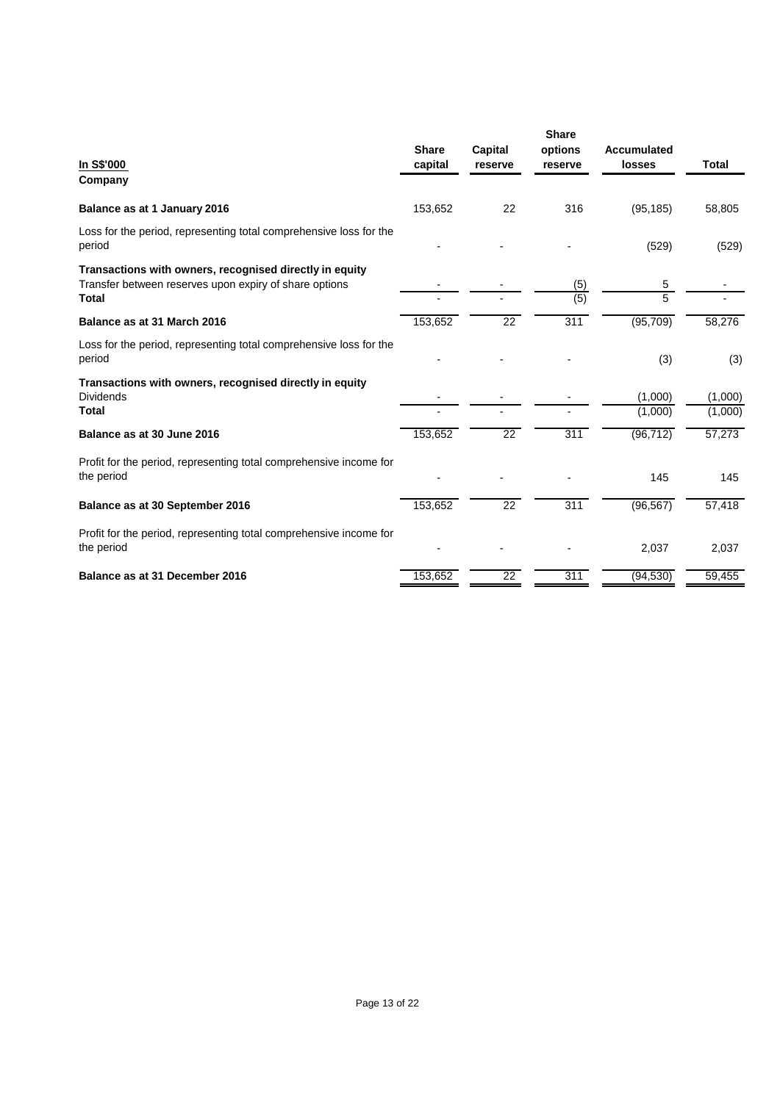| In S\$'000<br>Company                                                                                                             | <b>Share</b><br>capital | <b>Capital</b><br>reserve | <b>Share</b><br>options<br>reserve | Accumulated<br>losses | Total              |
|-----------------------------------------------------------------------------------------------------------------------------------|-------------------------|---------------------------|------------------------------------|-----------------------|--------------------|
| Balance as at 1 January 2016                                                                                                      | 153,652                 | 22                        | 316                                | (95, 185)             | 58,805             |
| Loss for the period, representing total comprehensive loss for the<br>period                                                      |                         |                           |                                    | (529)                 | (529)              |
| Transactions with owners, recognised directly in equity<br>Transfer between reserves upon expiry of share options<br><b>Total</b> |                         |                           | (5)<br>(5)                         | 5<br>5                |                    |
| Balance as at 31 March 2016                                                                                                       | 153,652                 | $\overline{22}$           | 311                                | (95, 709)             | 58,276             |
| Loss for the period, representing total comprehensive loss for the<br>period                                                      |                         |                           |                                    | (3)                   | (3)                |
| Transactions with owners, recognised directly in equity<br><b>Dividends</b><br><b>Total</b>                                       |                         |                           |                                    | (1,000)<br>(1,000)    | (1,000)<br>(1,000) |
| Balance as at 30 June 2016                                                                                                        | 153,652                 | 22                        | 311                                | (96, 712)             | 57,273             |
| Profit for the period, representing total comprehensive income for<br>the period                                                  |                         |                           |                                    | 145                   | 145                |
| Balance as at 30 September 2016                                                                                                   | 153,652                 | 22                        | 311                                | (96, 567)             | 57,418             |
| Profit for the period, representing total comprehensive income for<br>the period                                                  |                         |                           |                                    | 2,037                 | 2,037              |
| Balance as at 31 December 2016                                                                                                    | 153,652                 | $\overline{22}$           | 311                                | (94, 530)             | 59,455             |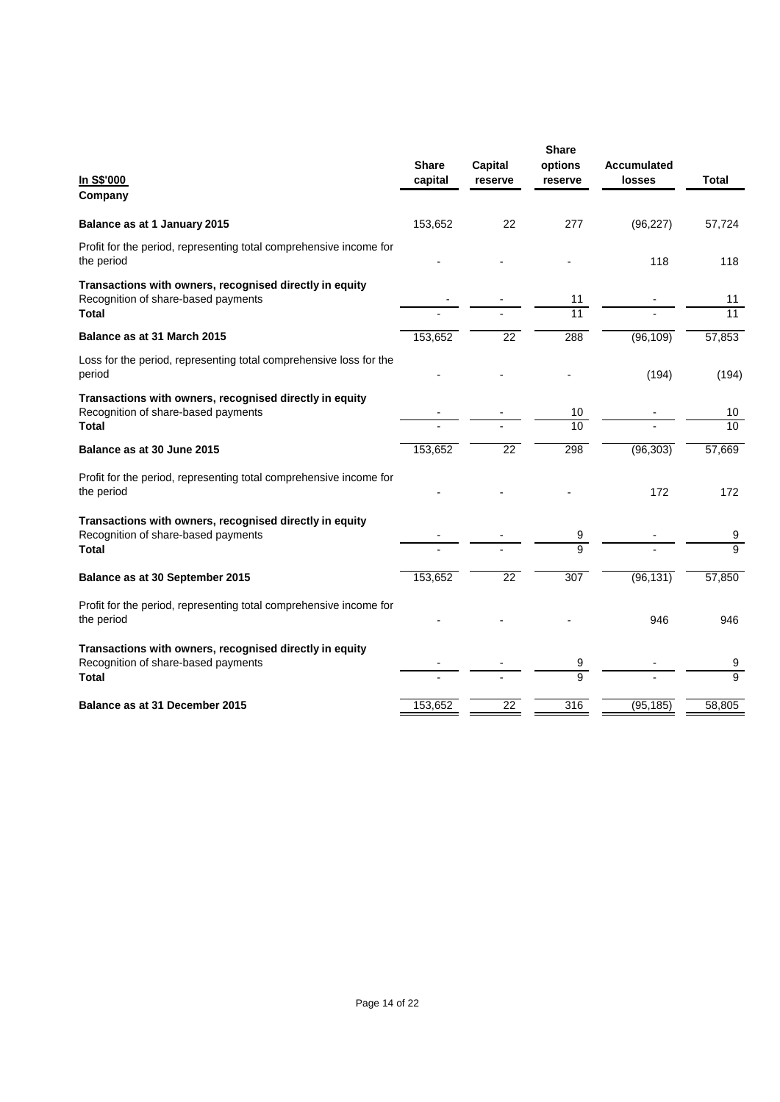| In S\$'000<br>Company                                                                          | <b>Share</b><br>capital | <b>Capital</b><br>reserve | <b>Share</b><br>options<br>reserve | <b>Accumulated</b><br>losses | <b>Total</b>    |
|------------------------------------------------------------------------------------------------|-------------------------|---------------------------|------------------------------------|------------------------------|-----------------|
|                                                                                                |                         |                           |                                    |                              |                 |
| Balance as at 1 January 2015                                                                   | 153,652                 | 22                        | 277                                | (96, 227)                    | 57,724          |
| Profit for the period, representing total comprehensive income for<br>the period               |                         |                           |                                    | 118                          | 118             |
| Transactions with owners, recognised directly in equity<br>Recognition of share-based payments |                         |                           | 11                                 |                              | 11              |
| <b>Total</b>                                                                                   |                         |                           | 11                                 |                              | $\overline{11}$ |
| Balance as at 31 March 2015                                                                    | 153,652                 | 22                        | 288                                | (96, 109)                    | 57,853          |
| Loss for the period, representing total comprehensive loss for the<br>period                   |                         |                           |                                    | (194)                        | (194)           |
| Transactions with owners, recognised directly in equity                                        |                         |                           |                                    |                              |                 |
| Recognition of share-based payments                                                            |                         |                           | 10                                 |                              | 10              |
| <b>Total</b>                                                                                   |                         |                           | 10                                 |                              | $\overline{10}$ |
| Balance as at 30 June 2015                                                                     | 153,652                 | $\overline{22}$           | 298                                | (96, 303)                    | 57,669          |
| Profit for the period, representing total comprehensive income for<br>the period               |                         |                           |                                    | 172                          | 172             |
| Transactions with owners, recognised directly in equity                                        |                         |                           |                                    |                              |                 |
| Recognition of share-based payments                                                            |                         |                           | 9                                  |                              | 9               |
| <b>Total</b>                                                                                   |                         |                           | $\overline{9}$                     |                              | $\overline{9}$  |
| Balance as at 30 September 2015                                                                | 153,652                 | $\overline{22}$           | 307                                | (96, 131)                    | 57,850          |
| Profit for the period, representing total comprehensive income for<br>the period               |                         |                           |                                    | 946                          | 946             |
| Transactions with owners, recognised directly in equity<br>Recognition of share-based payments |                         |                           | 9                                  |                              | 9               |
| <b>Total</b>                                                                                   |                         |                           | $\overline{9}$                     |                              | $\overline{9}$  |
| Balance as at 31 December 2015                                                                 | 153,652                 | $\overline{22}$           | 316                                | (95, 185)                    | 58,805          |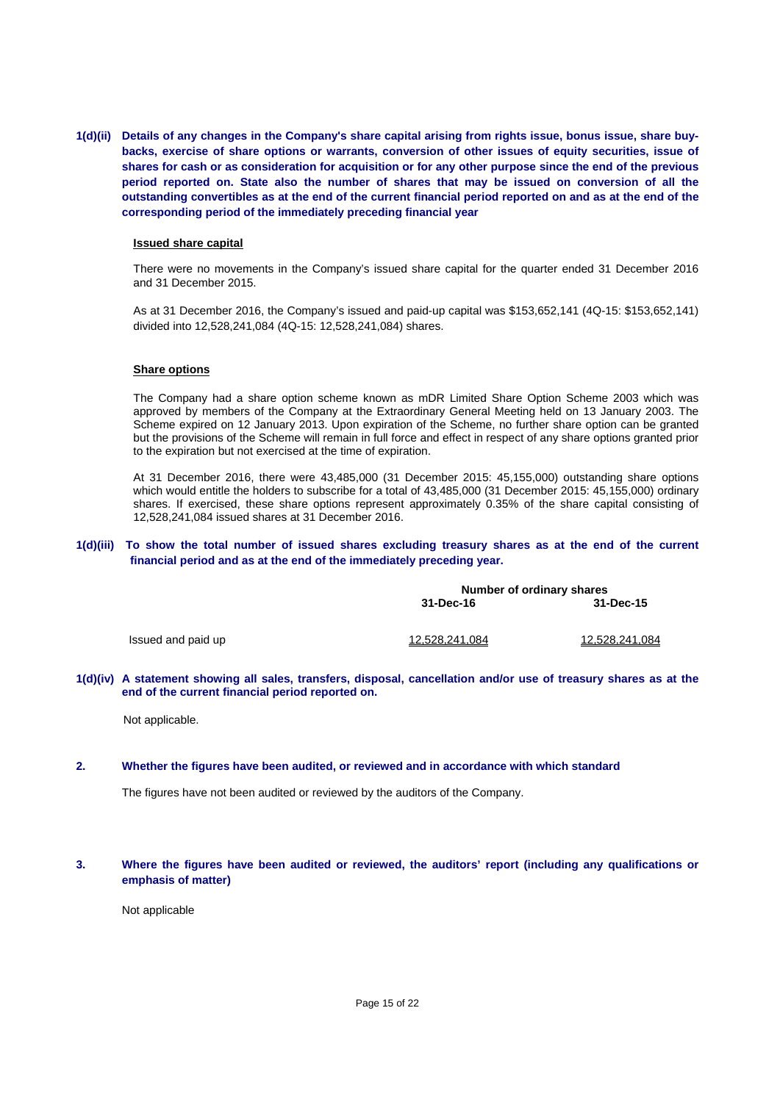**1(d)(ii) Details of any changes in the Company's share capital arising from rights issue, bonus issue, share buybacks, exercise of share options or warrants, conversion of other issues of equity securities, issue of shares for cash or as consideration for acquisition or for any other purpose since the end of the previous period reported on. State also the number of shares that may be issued on conversion of all the outstanding convertibles as at the end of the current financial period reported on and as at the end of the corresponding period of the immediately preceding financial year** 

#### **Issued share capital**

There were no movements in the Company's issued share capital for the quarter ended 31 December 2016 and 31 December 2015.

As at 31 December 2016, the Company's issued and paid-up capital was \$153,652,141 (4Q-15: \$153,652,141) divided into 12,528,241,084 (4Q-15: 12,528,241,084) shares.

#### **Share options**

The Company had a share option scheme known as mDR Limited Share Option Scheme 2003 which was approved by members of the Company at the Extraordinary General Meeting held on 13 January 2003. The Scheme expired on 12 January 2013. Upon expiration of the Scheme, no further share option can be granted but the provisions of the Scheme will remain in full force and effect in respect of any share options granted prior to the expiration but not exercised at the time of expiration.

At 31 December 2016, there were 43,485,000 (31 December 2015: 45,155,000) outstanding share options which would entitle the holders to subscribe for a total of 43,485,000 (31 December 2015: 45,155,000) ordinary shares. If exercised, these share options represent approximately 0.35% of the share capital consisting of 12,528,241,084 issued shares at 31 December 2016.

#### **1(d)(iii) To show the total number of issued shares excluding treasury shares as at the end of the current financial period and as at the end of the immediately preceding year.**

|                    | Number of ordinary shares |                |  |
|--------------------|---------------------------|----------------|--|
|                    | 31-Dec-16                 | 31-Dec-15      |  |
| Issued and paid up | 12,528,241,084            | 12,528,241,084 |  |

#### **1(d)(iv) A statement showing all sales, transfers, disposal, cancellation and/or use of treasury shares as at the end of the current financial period reported on.**

Not applicable.

### **2. Whether the figures have been audited, or reviewed and in accordance with which standard**

The figures have not been audited or reviewed by the auditors of the Company.

### **3. Where the figures have been audited or reviewed, the auditors' report (including any qualifications or emphasis of matter)**

Not applicable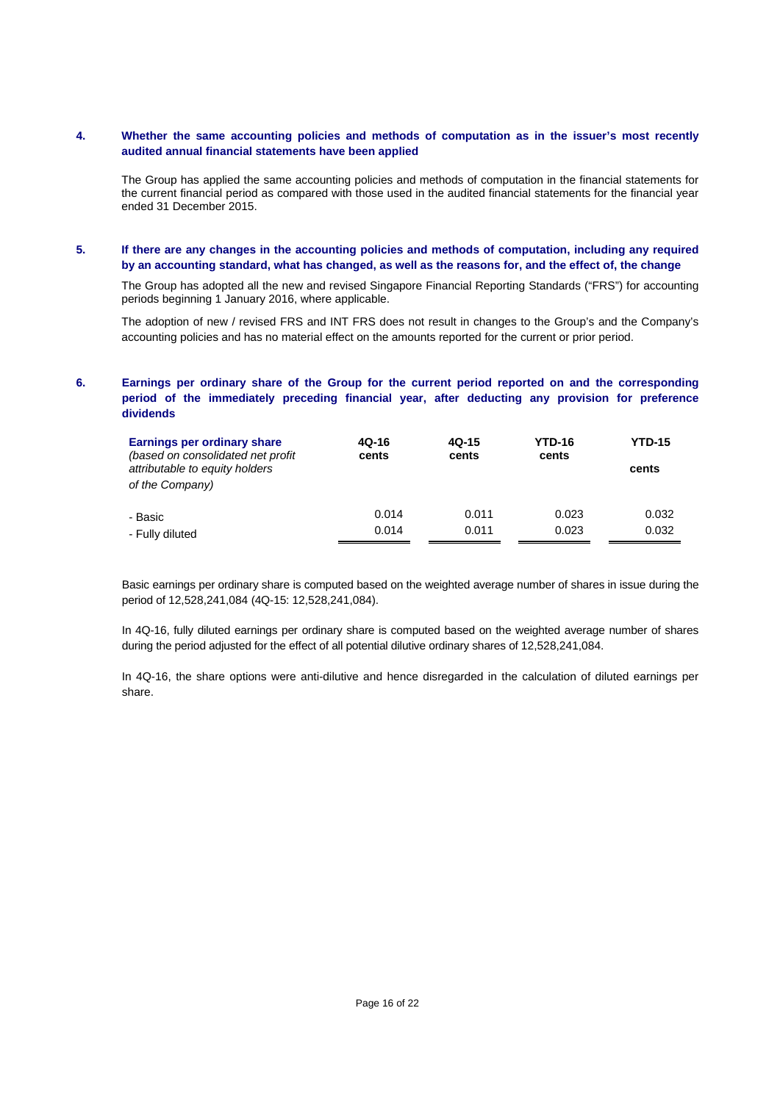### **4. Whether the same accounting policies and methods of computation as in the issuer's most recently audited annual financial statements have been applied**

The Group has applied the same accounting policies and methods of computation in the financial statements for the current financial period as compared with those used in the audited financial statements for the financial year ended 31 December 2015.

### **5. If there are any changes in the accounting policies and methods of computation, including any required by an accounting standard, what has changed, as well as the reasons for, and the effect of, the change**

The Group has adopted all the new and revised Singapore Financial Reporting Standards ("FRS") for accounting periods beginning 1 January 2016, where applicable.

The adoption of new / revised FRS and INT FRS does not result in changes to the Group's and the Company's accounting policies and has no material effect on the amounts reported for the current or prior period.

## **6. Earnings per ordinary share of the Group for the current period reported on and the corresponding period of the immediately preceding financial year, after deducting any provision for preference dividends**

| Earnings per ordinary share<br>(based on consolidated net profit)<br>attributable to equity holders<br>of the Company) | 4Q-16<br>cents | 4Q-15<br>cents | <b>YTD-16</b><br>cents | <b>YTD-15</b><br>cents |
|------------------------------------------------------------------------------------------------------------------------|----------------|----------------|------------------------|------------------------|
| - Basic                                                                                                                | 0.014          | 0.011          | 0.023                  | 0.032                  |
| - Fully diluted                                                                                                        | 0.014          | 0.011          | 0.023                  | 0.032                  |

Basic earnings per ordinary share is computed based on the weighted average number of shares in issue during the period of 12,528,241,084 (4Q-15: 12,528,241,084).

In 4Q-16, fully diluted earnings per ordinary share is computed based on the weighted average number of shares during the period adjusted for the effect of all potential dilutive ordinary shares of 12,528,241,084.

In 4Q-16, the share options were anti-dilutive and hence disregarded in the calculation of diluted earnings per share.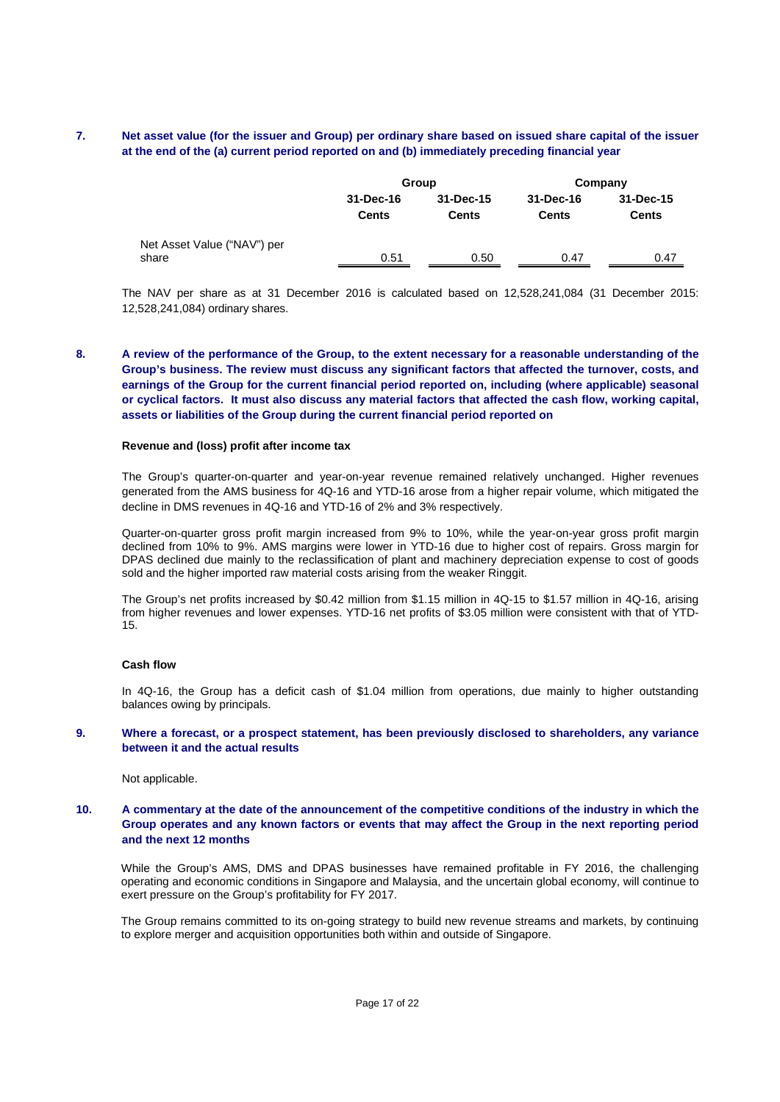### **7. Net asset value (for the issuer and Group) per ordinary share based on issued share capital of the issuer at the end of the (a) current period reported on and (b) immediately preceding financial year**

|                                      |                    | Group                     | Company                   |                           |  |
|--------------------------------------|--------------------|---------------------------|---------------------------|---------------------------|--|
|                                      | 31-Dec-16<br>Cents | 31-Dec-15<br><b>Cents</b> | 31-Dec-16<br><b>Cents</b> | 31-Dec-15<br><b>Cents</b> |  |
| Net Asset Value ("NAV") per<br>share | 0.51               | 0.50                      | 0.47                      | 0.47                      |  |

The NAV per share as at 31 December 2016 is calculated based on 12,528,241,084 (31 December 2015: 12,528,241,084) ordinary shares.

**8. A review of the performance of the Group, to the extent necessary for a reasonable understanding of the Group's business. The review must discuss any significant factors that affected the turnover, costs, and earnings of the Group for the current financial period reported on, including (where applicable) seasonal or cyclical factors. It must also discuss any material factors that affected the cash flow, working capital, assets or liabilities of the Group during the current financial period reported on** 

#### **Revenue and (loss) profit after income tax**

The Group's quarter-on-quarter and year-on-year revenue remained relatively unchanged. Higher revenues generated from the AMS business for 4Q-16 and YTD-16 arose from a higher repair volume, which mitigated the decline in DMS revenues in 4Q-16 and YTD-16 of 2% and 3% respectively.

Quarter-on-quarter gross profit margin increased from 9% to 10%, while the year-on-year gross profit margin declined from 10% to 9%. AMS margins were lower in YTD-16 due to higher cost of repairs. Gross margin for DPAS declined due mainly to the reclassification of plant and machinery depreciation expense to cost of goods sold and the higher imported raw material costs arising from the weaker Ringgit.

The Group's net profits increased by \$0.42 million from \$1.15 million in 4Q-15 to \$1.57 million in 4Q-16, arising from higher revenues and lower expenses. YTD-16 net profits of \$3.05 million were consistent with that of YTD-15.

#### **Cash flow**

In 4Q-16, the Group has a deficit cash of \$1.04 million from operations, due mainly to higher outstanding balances owing by principals.

#### **9. Where a forecast, or a prospect statement, has been previously disclosed to shareholders, any variance between it and the actual results**

Not applicable.

### **10. A commentary at the date of the announcement of the competitive conditions of the industry in which the Group operates and any known factors or events that may affect the Group in the next reporting period and the next 12 months**

While the Group's AMS, DMS and DPAS businesses have remained profitable in FY 2016, the challenging operating and economic conditions in Singapore and Malaysia, and the uncertain global economy, will continue to exert pressure on the Group's profitability for FY 2017.

The Group remains committed to its on-going strategy to build new revenue streams and markets, by continuing to explore merger and acquisition opportunities both within and outside of Singapore.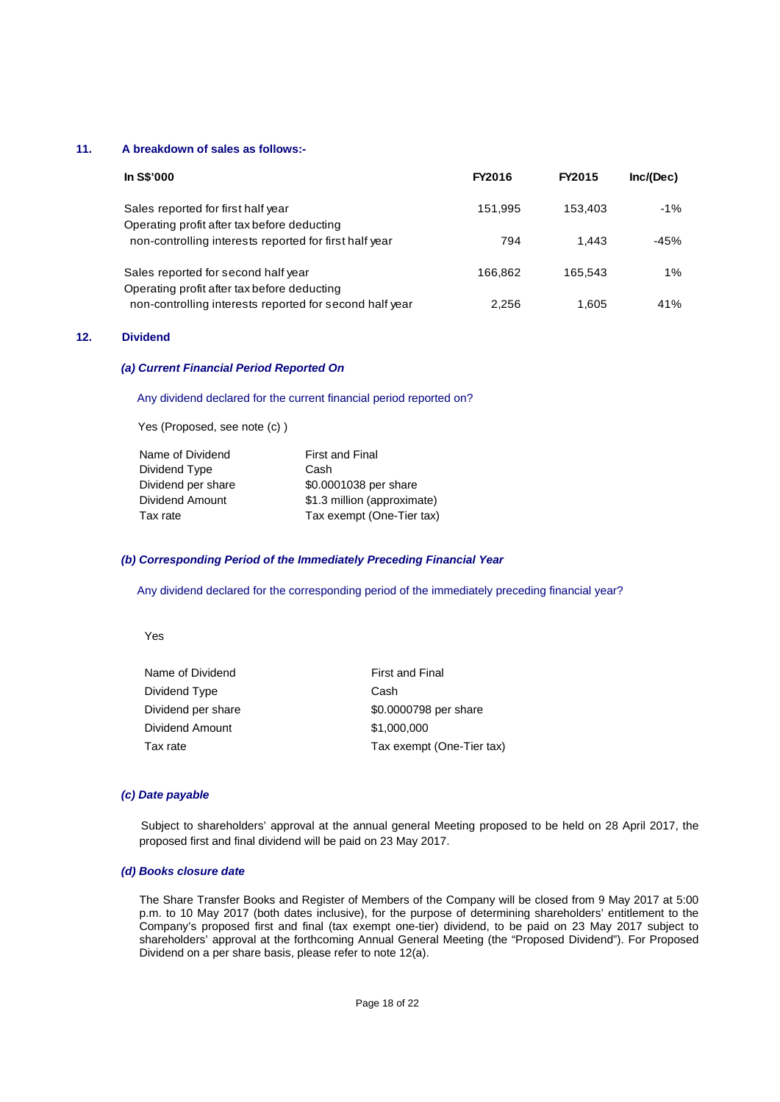### **11. A breakdown of sales as follows:-**

| <b>In S\$'000</b>                                                                  | FY2016  | FY2015  | Inc/(Dec) |
|------------------------------------------------------------------------------------|---------|---------|-----------|
| Sales reported for first half year<br>Operating profit after tax before deducting  | 151,995 | 153.403 | $-1\%$    |
| non-controlling interests reported for first half year                             | 794     | 1.443   | $-45%$    |
| Sales reported for second half year<br>Operating profit after tax before deducting | 166.862 | 165.543 | $1\%$     |
| non-controlling interests reported for second half year                            | 2.256   | 1.605   | 41%       |

### **12. Dividend**

#### *(a) Current Financial Period Reported On*

#### Any dividend declared for the current financial period reported on?

Yes (Proposed, see note (c) )

| <b>First and Final</b>      |
|-----------------------------|
| Cash                        |
| \$0.0001038 per share       |
| \$1.3 million (approximate) |
| Tax exempt (One-Tier tax)   |
|                             |

#### *(b) Corresponding Period of the Immediately Preceding Financial Year*

Any dividend declared for the corresponding period of the immediately preceding financial year?

Yes

| <b>First and Final</b>    |
|---------------------------|
| Cash                      |
| \$0.0000798 per share     |
| \$1,000,000               |
| Tax exempt (One-Tier tax) |
|                           |

### *(c) Date payable*

 Subject to shareholders' approval at the annual general Meeting proposed to be held on 28 April 2017, the proposed first and final dividend will be paid on 23 May 2017.

### *(d) Books closure date*

The Share Transfer Books and Register of Members of the Company will be closed from 9 May 2017 at 5:00 p.m. to 10 May 2017 (both dates inclusive), for the purpose of determining shareholders' entitlement to the Company's proposed first and final (tax exempt one-tier) dividend, to be paid on 23 May 2017 subject to shareholders' approval at the forthcoming Annual General Meeting (the "Proposed Dividend"). For Proposed Dividend on a per share basis, please refer to note 12(a).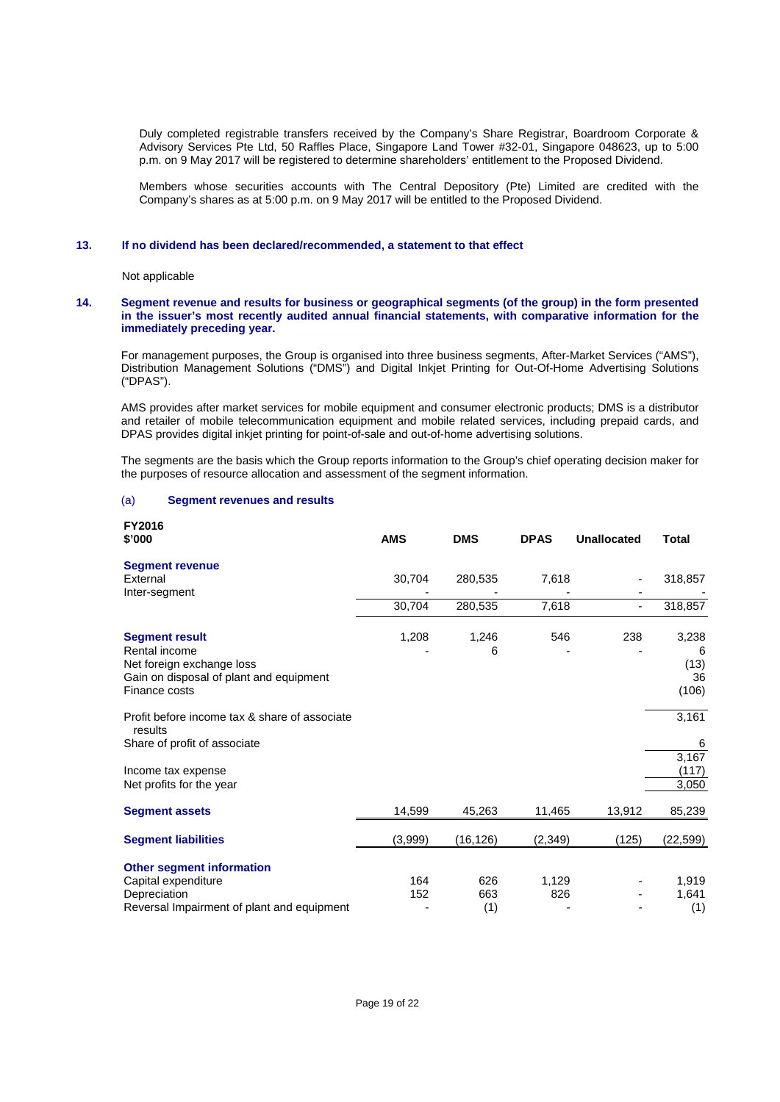Duly completed registrable transfers received by the Company's Share Registrar, Boardroom Corporate & Advisory Services Pte Ltd, 50 Raffles Place, Singapore Land Tower #32-01, Singapore 048623, up to 5:00 p.m. on 9 May 2017 will be registered to determine shareholders' entitlement to the Proposed Dividend.

Members whose securities accounts with The Central Depository (Pte) Limited are credited with the Company's shares as at 5:00 p.m. on 9 May 2017 will be entitled to the Proposed Dividend.

#### **13. If no dividend has been declared/recommended, a statement to that effect**

Not applicable

#### **14. Segment revenue and results for business or geographical segments (of the group) in the form presented in the issuer's most recently audited annual financial statements, with comparative information for the immediately preceding year.**

For management purposes, the Group is organised into three business segments, After-Market Services ("AMS"), Distribution Management Solutions ("DMS") and Digital Inkjet Printing for Out-Of-Home Advertising Solutions ("DPAS").

 AMS provides after market services for mobile equipment and consumer electronic products; DMS is a distributor and retailer of mobile telecommunication equipment and mobile related services, including prepaid cards, and DPAS provides digital inkjet printing for point-of-sale and out-of-home advertising solutions.

 The segments are the basis which the Group reports information to the Group's chief operating decision maker for the purposes of resource allocation and assessment of the segment information.

#### (a) **Segment revenues and results**

| FY2016                                                   |            |            |             |                    |          |
|----------------------------------------------------------|------------|------------|-------------|--------------------|----------|
| \$'000                                                   | <b>AMS</b> | <b>DMS</b> | <b>DPAS</b> | <b>Unallocated</b> | Total    |
| <b>Segment revenue</b>                                   |            |            |             |                    |          |
| External                                                 | 30,704     | 280,535    | 7,618       |                    | 318,857  |
| Inter-segment                                            |            |            |             |                    |          |
|                                                          | 30,704     | 280,535    | 7,618       |                    | 318,857  |
| <b>Segment result</b>                                    | 1,208      | 1,246      | 546         | 238                | 3,238    |
| Rental income                                            |            | 6          |             |                    | 6        |
| Net foreign exchange loss                                |            |            |             |                    | (13)     |
| Gain on disposal of plant and equipment                  |            |            |             |                    | 36       |
| Finance costs                                            |            |            |             |                    | (106)    |
| Profit before income tax & share of associate<br>results |            |            |             |                    | 3,161    |
| Share of profit of associate                             |            |            |             |                    | 6        |
|                                                          |            |            |             |                    | 3,167    |
| Income tax expense                                       |            |            |             |                    | (117)    |
| Net profits for the year                                 |            |            |             |                    | 3,050    |
| <b>Segment assets</b>                                    | 14,599     | 45,263     | 11,465      | 13,912             | 85,239   |
| <b>Segment liabilities</b>                               | (3,999)    | (16, 126)  | (2,349)     | (125)              | (22,599) |
| <b>Other segment information</b>                         |            |            |             |                    |          |
| Capital expenditure                                      | 164        | 626        | 1,129       |                    | 1,919    |
| Depreciation                                             | 152        | 663        | 826         |                    | 1,641    |
| Reversal Impairment of plant and equipment               |            | (1)        |             |                    | (1)      |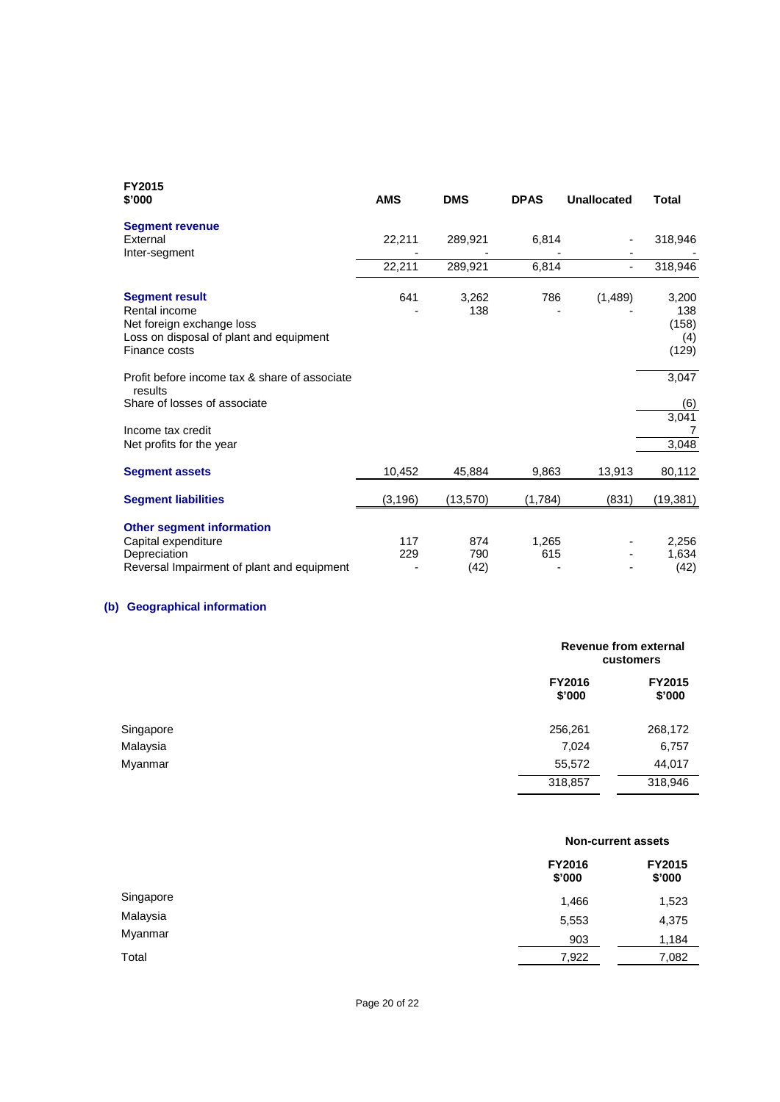| <b>FY2015</b><br>\$'000                                                                                                         | <b>AMS</b> | <b>DMS</b>         | <b>DPAS</b>  | <b>Unallocated</b> | Total                                 |
|---------------------------------------------------------------------------------------------------------------------------------|------------|--------------------|--------------|--------------------|---------------------------------------|
| <b>Segment revenue</b><br>External<br>Inter-segment                                                                             | 22,211     | 289,921            | 6,814        |                    | 318,946                               |
|                                                                                                                                 | 22,211     | 289,921            | 6,814        |                    | 318,946                               |
| <b>Segment result</b><br>Rental income<br>Net foreign exchange loss<br>Loss on disposal of plant and equipment<br>Finance costs | 641        | 3,262<br>138       | 786          | (1,489)            | 3,200<br>138<br>(158)<br>(4)<br>(129) |
| Profit before income tax & share of associate<br>results<br>Share of losses of associate                                        |            |                    |              |                    | 3,047<br>(6)                          |
| Income tax credit<br>Net profits for the year                                                                                   |            |                    |              |                    | 3,041<br>3,048                        |
| <b>Segment assets</b>                                                                                                           | 10,452     | 45,884             | 9,863        | 13,913             | 80,112                                |
| <b>Segment liabilities</b>                                                                                                      | (3, 196)   | (13, 570)          | (1,784)      | (831)              | (19, 381)                             |
| <b>Other segment information</b><br>Capital expenditure<br>Depreciation<br>Reversal Impairment of plant and equipment           | 117<br>229 | 874<br>790<br>(42) | 1,265<br>615 |                    | 2,256<br>1,634<br>(42)                |

## **(b) Geographical information**

|           |                  | Revenue from external<br>customers |  |  |
|-----------|------------------|------------------------------------|--|--|
|           | FY2016<br>\$'000 | <b>FY2015</b><br>\$'000            |  |  |
| Singapore | 256,261          | 268,172                            |  |  |
| Malaysia  | 7,024            | 6,757                              |  |  |
| Myanmar   | 55,572           | 44,017                             |  |  |
|           | 318,857          | 318,946                            |  |  |

|           |                         | <b>Non-current assets</b> |  |  |
|-----------|-------------------------|---------------------------|--|--|
|           | <b>FY2016</b><br>\$'000 | FY2015<br>\$'000          |  |  |
| Singapore | 1,466                   | 1,523                     |  |  |
| Malaysia  | 5,553                   | 4,375                     |  |  |
| Myanmar   | 903                     | 1,184                     |  |  |
| Total     | 7,922                   | 7,082                     |  |  |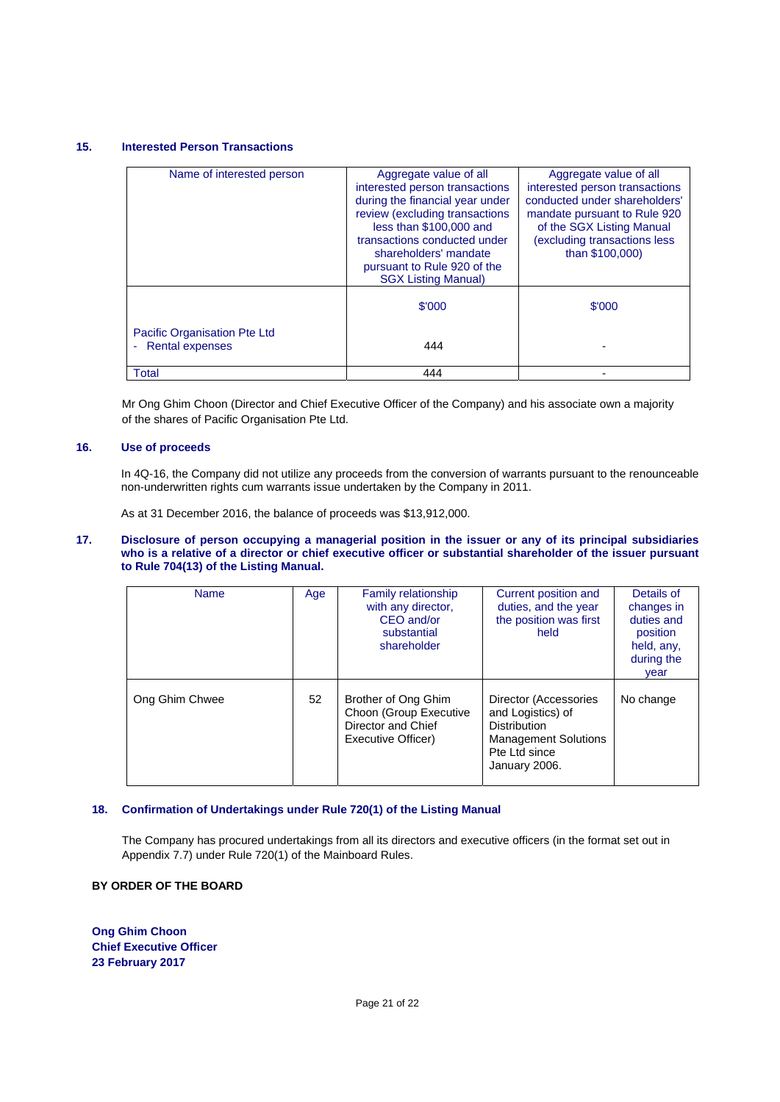#### **15. Interested Person Transactions**

| Name of interested person                              | Aggregate value of all<br>interested person transactions<br>during the financial year under<br>review (excluding transactions<br>less than \$100,000 and<br>transactions conducted under<br>shareholders' mandate<br>pursuant to Rule 920 of the<br><b>SGX Listing Manual)</b> | Aggregate value of all<br>interested person transactions<br>conducted under shareholders'<br>mandate pursuant to Rule 920<br>of the SGX Listing Manual<br>(excluding transactions less<br>than \$100,000) |
|--------------------------------------------------------|--------------------------------------------------------------------------------------------------------------------------------------------------------------------------------------------------------------------------------------------------------------------------------|-----------------------------------------------------------------------------------------------------------------------------------------------------------------------------------------------------------|
|                                                        | \$'000                                                                                                                                                                                                                                                                         | \$'000                                                                                                                                                                                                    |
| Pacific Organisation Pte Ltd<br><b>Rental expenses</b> | 444                                                                                                                                                                                                                                                                            |                                                                                                                                                                                                           |
| Total                                                  | 444                                                                                                                                                                                                                                                                            |                                                                                                                                                                                                           |

Mr Ong Ghim Choon (Director and Chief Executive Officer of the Company) and his associate own a majority of the shares of Pacific Organisation Pte Ltd.

#### **16. Use of proceeds**

 In 4Q-16, the Company did not utilize any proceeds from the conversion of warrants pursuant to the renounceable non-underwritten rights cum warrants issue undertaken by the Company in 2011.

As at 31 December 2016, the balance of proceeds was \$13,912,000.

**17. Disclosure of person occupying a managerial position in the issuer or any of its principal subsidiaries who is a relative of a director or chief executive officer or substantial shareholder of the issuer pursuant to Rule 704(13) of the Listing Manual.** 

| <b>Name</b>    | Age | <b>Family relationship</b><br>with any director,<br>CEO and/or<br>substantial<br>shareholder | Current position and<br>duties, and the year<br>the position was first<br>held                                                     | Details of<br>changes in<br>duties and<br>position<br>held, any,<br>during the<br>year |
|----------------|-----|----------------------------------------------------------------------------------------------|------------------------------------------------------------------------------------------------------------------------------------|----------------------------------------------------------------------------------------|
| Ong Ghim Chwee | 52  | Brother of Ong Ghim<br>Choon (Group Executive<br>Director and Chief<br>Executive Officer)    | Director (Accessories<br>and Logistics) of<br><b>Distribution</b><br><b>Management Solutions</b><br>Pte Ltd since<br>January 2006. | No change                                                                              |

#### **18. Confirmation of Undertakings under Rule 720(1) of the Listing Manual**

The Company has procured undertakings from all its directors and executive officers (in the format set out in Appendix 7.7) under Rule 720(1) of the Mainboard Rules.

### **BY ORDER OF THE BOARD**

**Ong Ghim Choon Chief Executive Officer 23 February 2017**